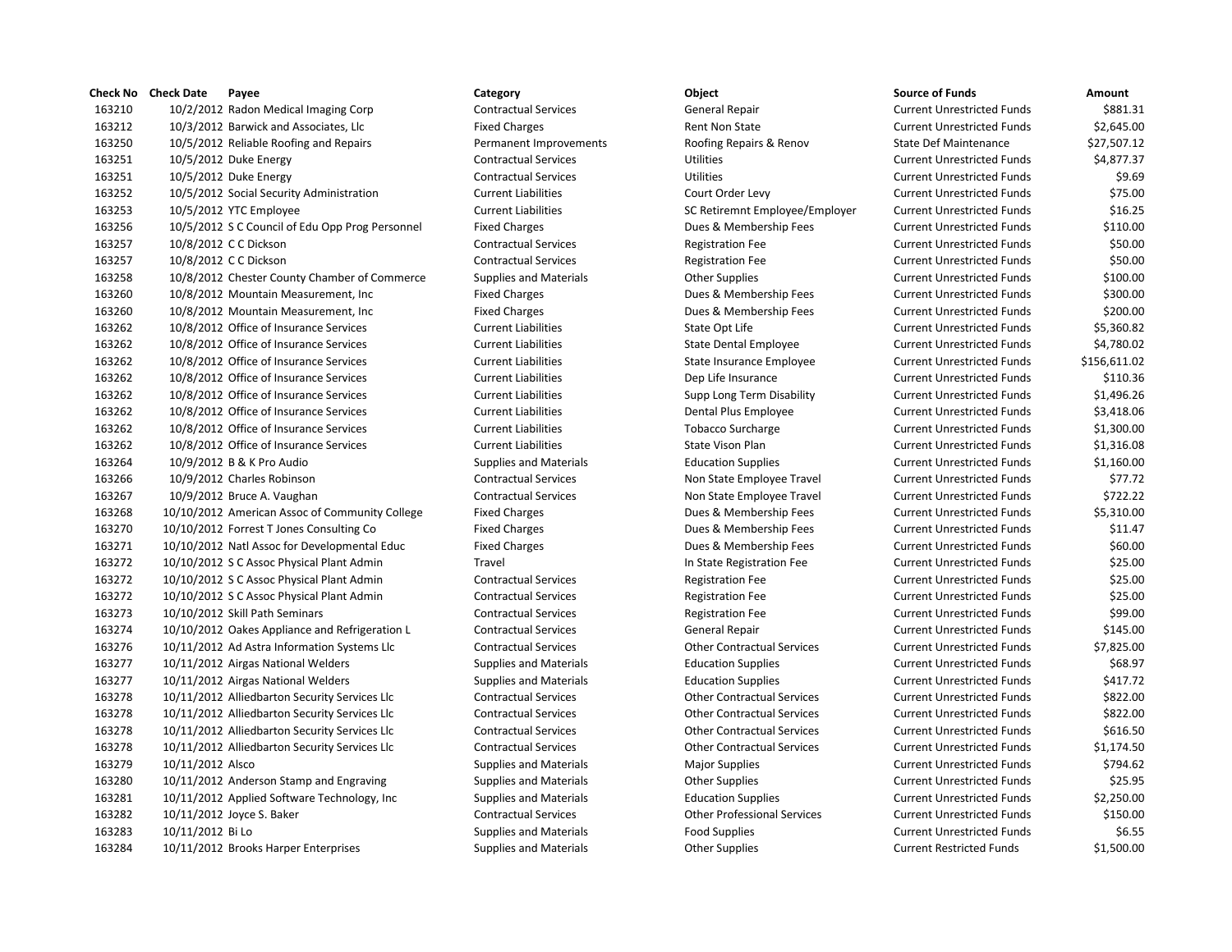|        | Check No Check Date<br>Payee                    | Category                      | Object                             | <b>Source of Funds</b>            | Amount       |
|--------|-------------------------------------------------|-------------------------------|------------------------------------|-----------------------------------|--------------|
| 163210 | 10/2/2012 Radon Medical Imaging Corp            | <b>Contractual Services</b>   | General Repair                     | <b>Current Unrestricted Funds</b> | \$881.31     |
| 163212 | 10/3/2012 Barwick and Associates, Llc           | <b>Fixed Charges</b>          | Rent Non State                     | <b>Current Unrestricted Funds</b> | \$2,645.00   |
| 163250 | 10/5/2012 Reliable Roofing and Repairs          | Permanent Improvements        | Roofing Repairs & Renov            | <b>State Def Maintenance</b>      | \$27,507.12  |
| 163251 | 10/5/2012 Duke Energy                           | <b>Contractual Services</b>   | <b>Utilities</b>                   | <b>Current Unrestricted Funds</b> | \$4,877.37   |
| 163251 | 10/5/2012 Duke Energy                           | <b>Contractual Services</b>   | Utilities                          | <b>Current Unrestricted Funds</b> | \$9.69       |
| 163252 | 10/5/2012 Social Security Administration        | <b>Current Liabilities</b>    | Court Order Levy                   | <b>Current Unrestricted Funds</b> | \$75.00      |
| 163253 | 10/5/2012 YTC Employee                          | <b>Current Liabilities</b>    | SC Retiremnt Employee/Employer     | <b>Current Unrestricted Funds</b> | \$16.25      |
| 163256 | 10/5/2012 S C Council of Edu Opp Prog Personnel | <b>Fixed Charges</b>          | Dues & Membership Fees             | <b>Current Unrestricted Funds</b> | \$110.00     |
| 163257 | 10/8/2012 C C Dickson                           | <b>Contractual Services</b>   | <b>Registration Fee</b>            | <b>Current Unrestricted Funds</b> | \$50.00      |
| 163257 | 10/8/2012 C C Dickson                           | <b>Contractual Services</b>   | <b>Registration Fee</b>            | <b>Current Unrestricted Funds</b> | \$50.00      |
| 163258 | 10/8/2012 Chester County Chamber of Commerce    | <b>Supplies and Materials</b> | <b>Other Supplies</b>              | <b>Current Unrestricted Funds</b> | \$100.00     |
| 163260 | 10/8/2012 Mountain Measurement, Inc.            | <b>Fixed Charges</b>          | Dues & Membership Fees             | <b>Current Unrestricted Funds</b> | \$300.00     |
| 163260 | 10/8/2012 Mountain Measurement, Inc             | <b>Fixed Charges</b>          | Dues & Membership Fees             | <b>Current Unrestricted Funds</b> | \$200.00     |
| 163262 | 10/8/2012 Office of Insurance Services          | <b>Current Liabilities</b>    | State Opt Life                     | <b>Current Unrestricted Funds</b> | \$5,360.82   |
| 163262 | 10/8/2012 Office of Insurance Services          | <b>Current Liabilities</b>    | <b>State Dental Employee</b>       | <b>Current Unrestricted Funds</b> | \$4,780.02   |
| 163262 | 10/8/2012 Office of Insurance Services          | <b>Current Liabilities</b>    | State Insurance Employee           | <b>Current Unrestricted Funds</b> | \$156,611.02 |
| 163262 | 10/8/2012 Office of Insurance Services          | <b>Current Liabilities</b>    | Dep Life Insurance                 | <b>Current Unrestricted Funds</b> | \$110.36     |
| 163262 | 10/8/2012 Office of Insurance Services          | <b>Current Liabilities</b>    | Supp Long Term Disability          | <b>Current Unrestricted Funds</b> | \$1,496.26   |
| 163262 | 10/8/2012 Office of Insurance Services          | <b>Current Liabilities</b>    | Dental Plus Employee               | <b>Current Unrestricted Funds</b> | \$3,418.06   |
| 163262 | 10/8/2012 Office of Insurance Services          | <b>Current Liabilities</b>    | <b>Tobacco Surcharge</b>           | <b>Current Unrestricted Funds</b> | \$1,300.00   |
| 163262 | 10/8/2012 Office of Insurance Services          | <b>Current Liabilities</b>    | State Vison Plan                   | <b>Current Unrestricted Funds</b> | \$1,316.08   |
| 163264 | 10/9/2012 B & K Pro Audio                       | <b>Supplies and Materials</b> | <b>Education Supplies</b>          | <b>Current Unrestricted Funds</b> | \$1,160.00   |
| 163266 | 10/9/2012 Charles Robinson                      | <b>Contractual Services</b>   | Non State Employee Travel          | <b>Current Unrestricted Funds</b> | \$77.72      |
| 163267 | 10/9/2012 Bruce A. Vaughan                      | <b>Contractual Services</b>   | Non State Employee Travel          | <b>Current Unrestricted Funds</b> | \$722.22     |
| 163268 | 10/10/2012 American Assoc of Community College  | <b>Fixed Charges</b>          | Dues & Membership Fees             | <b>Current Unrestricted Funds</b> | \$5,310.00   |
| 163270 | 10/10/2012 Forrest T Jones Consulting Co        | <b>Fixed Charges</b>          | Dues & Membership Fees             | <b>Current Unrestricted Funds</b> | \$11.47      |
| 163271 | 10/10/2012 Natl Assoc for Developmental Educ    | <b>Fixed Charges</b>          | Dues & Membership Fees             | <b>Current Unrestricted Funds</b> | \$60.00      |
| 163272 | 10/10/2012 S C Assoc Physical Plant Admin       | Travel                        | In State Registration Fee          | <b>Current Unrestricted Funds</b> | \$25.00      |
| 163272 | 10/10/2012 S C Assoc Physical Plant Admin       | <b>Contractual Services</b>   | <b>Registration Fee</b>            | <b>Current Unrestricted Funds</b> | \$25.00      |
| 163272 | 10/10/2012 S C Assoc Physical Plant Admin       | <b>Contractual Services</b>   | <b>Registration Fee</b>            | <b>Current Unrestricted Funds</b> | \$25.00      |
| 163273 | 10/10/2012 Skill Path Seminars                  | <b>Contractual Services</b>   | <b>Registration Fee</b>            | <b>Current Unrestricted Funds</b> | \$99.00      |
| 163274 | 10/10/2012 Oakes Appliance and Refrigeration L  | <b>Contractual Services</b>   | General Repair                     | <b>Current Unrestricted Funds</b> | \$145.00     |
| 163276 | 10/11/2012 Ad Astra Information Systems Llc     | <b>Contractual Services</b>   | <b>Other Contractual Services</b>  | <b>Current Unrestricted Funds</b> | \$7,825.00   |
| 163277 | 10/11/2012 Airgas National Welders              | <b>Supplies and Materials</b> | <b>Education Supplies</b>          | <b>Current Unrestricted Funds</b> | \$68.97      |
| 163277 | 10/11/2012 Airgas National Welders              | <b>Supplies and Materials</b> | <b>Education Supplies</b>          | <b>Current Unrestricted Funds</b> | \$417.72     |
| 163278 | 10/11/2012 Alliedbarton Security Services Llc   | <b>Contractual Services</b>   | <b>Other Contractual Services</b>  | <b>Current Unrestricted Funds</b> | \$822.00     |
| 163278 | 10/11/2012 Alliedbarton Security Services Llc   | <b>Contractual Services</b>   | <b>Other Contractual Services</b>  | <b>Current Unrestricted Funds</b> | \$822.00     |
| 163278 | 10/11/2012 Alliedbarton Security Services Llc   | <b>Contractual Services</b>   | <b>Other Contractual Services</b>  | <b>Current Unrestricted Funds</b> | \$616.50     |
| 163278 | 10/11/2012 Alliedbarton Security Services Llc   | <b>Contractual Services</b>   | <b>Other Contractual Services</b>  | <b>Current Unrestricted Funds</b> | \$1.174.50   |
| 163279 | 10/11/2012 Alsco                                | Supplies and Materials        | <b>Major Supplies</b>              | <b>Current Unrestricted Funds</b> | \$794.62     |
| 163280 | 10/11/2012 Anderson Stamp and Engraving         | <b>Supplies and Materials</b> | <b>Other Supplies</b>              | <b>Current Unrestricted Funds</b> | \$25.95      |
| 163281 | 10/11/2012 Applied Software Technology, Inc.    | <b>Supplies and Materials</b> | <b>Education Supplies</b>          | <b>Current Unrestricted Funds</b> | \$2,250.00   |
| 163282 | 10/11/2012 Joyce S. Baker                       | <b>Contractual Services</b>   | <b>Other Professional Services</b> | <b>Current Unrestricted Funds</b> | \$150.00     |
| 163283 | 10/11/2012 Bi Lo                                | <b>Supplies and Materials</b> | <b>Food Supplies</b>               | <b>Current Unrestricted Funds</b> | \$6.55       |
| 163284 | 10/11/2012 Brooks Harper Enterprises            | <b>Supplies and Materials</b> | <b>Other Supplies</b>              | <b>Current Restricted Funds</b>   | \$1,500.00   |
|        |                                                 |                               |                                    |                                   |              |

## 1632 1632 Permanent Improvements Roofing Repairs & Renov State Repairs American Repairs & Renov 1632 1025 10/5/2012 Current Liabilities SC Retiremnt Employee/Employer Cur Fixed Charges **16325 1000 Edu Opp Program Program Program Current Current Current Current Current Current Current Current Current Current Current Current Current Current Current Current Current Current Current Current Curr** 1632 Supplies and Materials **Current County Current Current Current Current Current Current Current Current Current Current Current Current Current Current Current Current Current Current Current Current Current Current Cu**  10/8/2012 Mountain Measurement, Inc Fixed Charges Dues & Membership Fees Current Unrestricted Funds \$300.00 10/8/2012 Mountain Measurement, Inc Fixed Charges Dues & Membership Fees Current Unrestricted Funds \$200.00 1632 10.6216 10.8226 10.8226 10.8226 10.8226 10.8226 10.8226 10.8226 10.8226 10.8226 10.8226 10.8226 1632 10226 10/8/2012 Current Liabilities Current Liabilities Current Liabilities Current Liabilities Current Current August 2014 1632 10226 10226 10226 2012 Office of Insurance Current Liabilities Current Liabilities Current Unrestricted Funds \$3,418.066 1006 101 Minutes Service Current Funds \$3,418.066 1018.076 1018.076 1018.076 1018.076 1018.076 1 16326 10726 10/9/2012 Contractual Services Non State Employee Travel 10/9/2012 Bruce A. Vaughan Contractual Services Non State Employee Travel Current Unrestricted Funds \$722.22 10/10/2012 American Assoc of Community College Fixed Charges Dues & Membership Fees Current Unrestricted Funds \$5,310.00 16327 16327 1020 1020 1020 1020 Nembership Fees Current Current Unrestricted Funds \$11.477 100 1021. 16327 12/10/2012 National Education Dues & Membership Fees Current Current Current Current Units & Membership Fees 16327 1632 1072 1072 Travel In State Registration Fee 163276 163276 1076 10/11/2012 Contractual Services Current Contractual Services Current Unrestricted Funds \$7,825.000 10/11/2012 Airgas National Welders Supplies and Materials Education Supplies Current Unrestricted Funds \$68.97 1632 1632 1632 10/11/2012 Contractual Services Current Contractual Services Current Current Unrestricted Funds \$822.000 1632 10.12012 Contractual Services Current Contractual Services Current Current Unrestricted Funds \$822.000 Licens \$822.000 Licens \$822.000 Licens \$822.000 Licens \$822.000 Licens \$822.000 Licens \$822.000 Licens \$822 16327 16327 16327 Contractual Services Curity Services Current Contractual Services Current Unrestricted Funds \$616.500  $\epsilon$ 1632 1632 1073 1072 Contractual Services Curity Services Current Unrestricted Funds \$1,174.500 100 Current Funds \$1,174.500 1075.500 1075.500 1075.500 1075.500 1075.500 1075.500 1075.500 1075.500 1075.500 1075.500 1075.500 1632 Supplies and Materials **Anderson Supplies And Materials Current Current Current Current Current Current Current Current Current Current Current Current Current Current Current Current Current Current Current Current C**  10/11/2012 Joyce S. Baker Contractual Services Other Professional Services Current Unrestricted Funds \$150.00 10/11/2012 Bi Lo Supplies and Materials Food Supplies Current Unrestricted Funds \$6.55 10/11/2012 Brooks Harper Enterprises Supplies and Materials Other Supplies Current Restricted Funds \$1,500.00

| irce of Funds           | Amount       |
|-------------------------|--------------|
| rent Unrestricted Funds | \$881.31     |
| rent Unrestricted Funds | \$2,645.00   |
| te Def Maintenance      | \$27,507.12  |
| rent Unrestricted Funds | \$4,877.37   |
| rent Unrestricted Funds | \$9.69       |
| rent Unrestricted Funds | \$75.00      |
| rent Unrestricted Funds | \$16.25      |
| rent Unrestricted Funds | \$110.00     |
| rent Unrestricted Funds | \$50.00      |
| rent Unrestricted Funds | \$50.00      |
| rent Unrestricted Funds | \$100.00     |
| rent Unrestricted Funds | \$300.00     |
| rent Unrestricted Funds | \$200.00     |
| rent Unrestricted Funds | \$5,360.82   |
| rent Unrestricted Funds | \$4,780.02   |
| rent Unrestricted Funds | \$156,611.02 |
| rent Unrestricted Funds | \$110.36     |
| rent Unrestricted Funds | \$1,496.26   |
| rent Unrestricted Funds | \$3,418.06   |
| rent Unrestricted Funds | \$1,300.00   |
| rent Unrestricted Funds | \$1,316.08   |
| rent Unrestricted Funds | \$1,160.00   |
| rent Unrestricted Funds | \$77.72      |
| rent Unrestricted Funds | \$722.22     |
| rent Unrestricted Funds | \$5,310.00   |
| rent Unrestricted Funds | \$11.47      |
| rent Unrestricted Funds | \$60.00      |
| rent Unrestricted Funds | \$25.00      |
| rent Unrestricted Funds | \$25.00      |
| rent Unrestricted Funds | \$25.00      |
| rent Unrestricted Funds | \$99.00      |
| rent Unrestricted Funds | \$145.00     |
| rent Unrestricted Funds | \$7,825.00   |
| rent Unrestricted Funds | \$68.97      |
| rent Unrestricted Funds | \$417.72     |
| rent Unrestricted Funds | \$822.00     |
| rent Unrestricted Funds | \$822.00     |
| rent Unrestricted Funds | \$616.50     |
| rent Unrestricted Funds | \$1,174.50   |
| rent Unrestricted Funds | \$794.62     |
| rent Unrestricted Funds | \$25.95      |
| rent Unrestricted Funds | \$2,250.00   |
| rent Unrestricted Funds | \$150.00     |
| rent Unrestricted Funds | \$6.55       |
| rent Restricted Funds   | \$1,500.00   |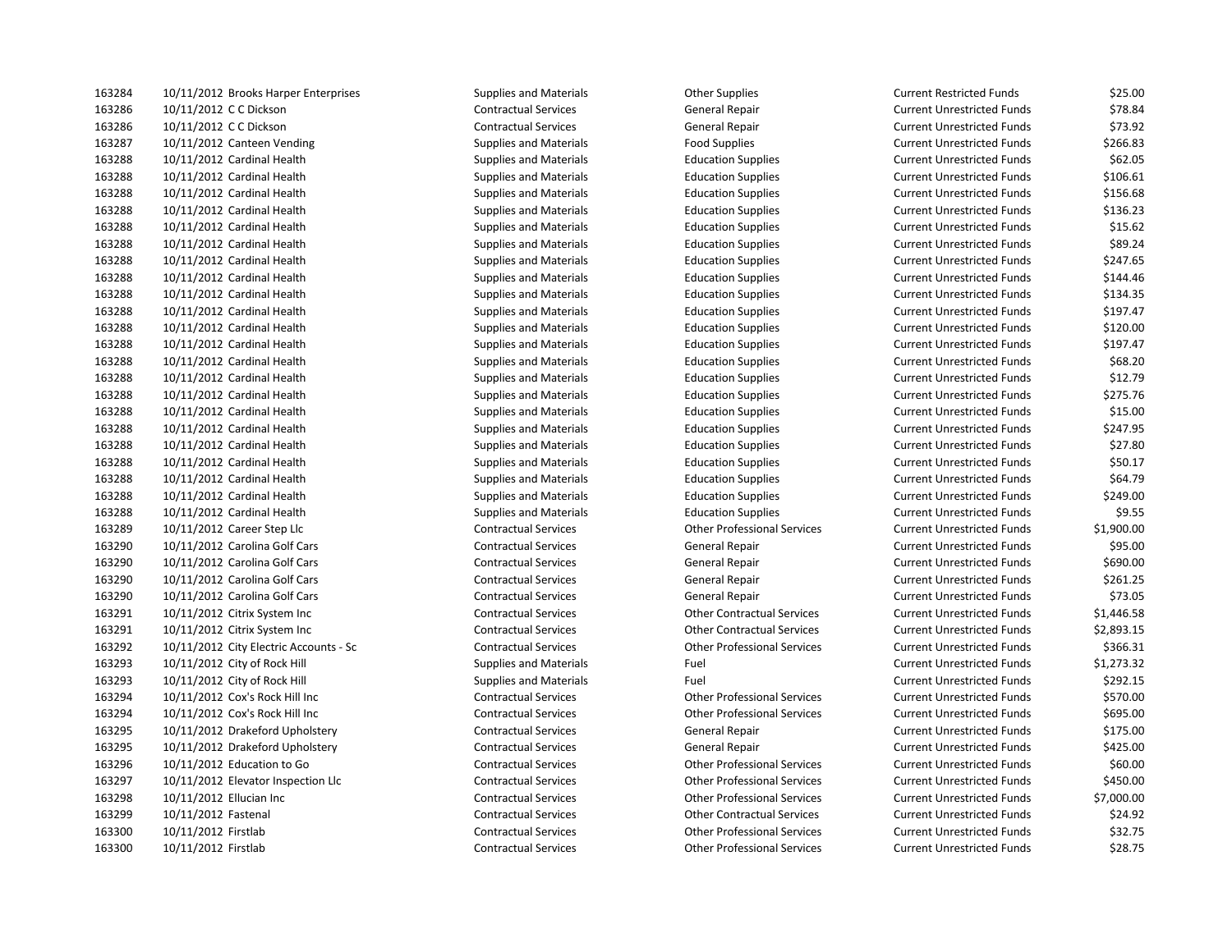| 163284 | 10/11/2012 Brooks Harper Enterprises   | Supplies and Materials        | <b>Other Supplies</b>              | Current Restricted Funds          | \$25.00    |
|--------|----------------------------------------|-------------------------------|------------------------------------|-----------------------------------|------------|
| 163286 | 10/11/2012 C C Dickson                 | <b>Contractual Services</b>   | General Repair                     | <b>Current Unrestricted Funds</b> | \$78.84    |
| 163286 | 10/11/2012 C C Dickson                 | <b>Contractual Services</b>   | General Repair                     | <b>Current Unrestricted Funds</b> | \$73.92    |
| 163287 | 10/11/2012 Canteen Vending             | <b>Supplies and Materials</b> | <b>Food Supplies</b>               | <b>Current Unrestricted Funds</b> | \$266.83   |
| 163288 | 10/11/2012 Cardinal Health             | <b>Supplies and Materials</b> | <b>Education Supplies</b>          | <b>Current Unrestricted Funds</b> | \$62.05    |
| 163288 | 10/11/2012 Cardinal Health             | <b>Supplies and Materials</b> | <b>Education Supplies</b>          | <b>Current Unrestricted Funds</b> | \$106.61   |
| 163288 | 10/11/2012 Cardinal Health             | <b>Supplies and Materials</b> | <b>Education Supplies</b>          | <b>Current Unrestricted Funds</b> | \$156.68   |
| 163288 | 10/11/2012 Cardinal Health             | <b>Supplies and Materials</b> | <b>Education Supplies</b>          | <b>Current Unrestricted Funds</b> | \$136.23   |
| 163288 | 10/11/2012 Cardinal Health             | <b>Supplies and Materials</b> | <b>Education Supplies</b>          | <b>Current Unrestricted Funds</b> | \$15.62    |
| 163288 | 10/11/2012 Cardinal Health             | <b>Supplies and Materials</b> | <b>Education Supplies</b>          | <b>Current Unrestricted Funds</b> | \$89.24    |
| 163288 | 10/11/2012 Cardinal Health             | <b>Supplies and Materials</b> | <b>Education Supplies</b>          | <b>Current Unrestricted Funds</b> | \$247.65   |
| 163288 | 10/11/2012 Cardinal Health             | <b>Supplies and Materials</b> | <b>Education Supplies</b>          | <b>Current Unrestricted Funds</b> | \$144.46   |
| 163288 | 10/11/2012 Cardinal Health             | <b>Supplies and Materials</b> | <b>Education Supplies</b>          | <b>Current Unrestricted Funds</b> | \$134.35   |
| 163288 | 10/11/2012 Cardinal Health             | <b>Supplies and Materials</b> | <b>Education Supplies</b>          | <b>Current Unrestricted Funds</b> | \$197.47   |
| 163288 | 10/11/2012 Cardinal Health             | <b>Supplies and Materials</b> | <b>Education Supplies</b>          | <b>Current Unrestricted Funds</b> | \$120.00   |
| 163288 | 10/11/2012 Cardinal Health             | <b>Supplies and Materials</b> | <b>Education Supplies</b>          | <b>Current Unrestricted Funds</b> | \$197.47   |
| 163288 | 10/11/2012 Cardinal Health             | <b>Supplies and Materials</b> | <b>Education Supplies</b>          | <b>Current Unrestricted Funds</b> | \$68.20    |
| 163288 | 10/11/2012 Cardinal Health             | <b>Supplies and Materials</b> | <b>Education Supplies</b>          | <b>Current Unrestricted Funds</b> | \$12.79    |
| 163288 | 10/11/2012 Cardinal Health             | <b>Supplies and Materials</b> | <b>Education Supplies</b>          | <b>Current Unrestricted Funds</b> | \$275.76   |
| 163288 | 10/11/2012 Cardinal Health             | <b>Supplies and Materials</b> | <b>Education Supplies</b>          | <b>Current Unrestricted Funds</b> | \$15.00    |
| 163288 | 10/11/2012 Cardinal Health             | <b>Supplies and Materials</b> | <b>Education Supplies</b>          | <b>Current Unrestricted Funds</b> | \$247.95   |
| 163288 | 10/11/2012 Cardinal Health             | <b>Supplies and Materials</b> | <b>Education Supplies</b>          | <b>Current Unrestricted Funds</b> | \$27.80    |
| 163288 | 10/11/2012 Cardinal Health             | <b>Supplies and Materials</b> | <b>Education Supplies</b>          | <b>Current Unrestricted Funds</b> | \$50.17    |
| 163288 | 10/11/2012 Cardinal Health             | <b>Supplies and Materials</b> | <b>Education Supplies</b>          | <b>Current Unrestricted Funds</b> | \$64.79    |
| 163288 | 10/11/2012 Cardinal Health             | <b>Supplies and Materials</b> | <b>Education Supplies</b>          | <b>Current Unrestricted Funds</b> | \$249.00   |
| 163288 | 10/11/2012 Cardinal Health             | <b>Supplies and Materials</b> | <b>Education Supplies</b>          | <b>Current Unrestricted Funds</b> | \$9.55     |
| 163289 | 10/11/2012 Career Step Llc             | <b>Contractual Services</b>   | <b>Other Professional Services</b> | <b>Current Unrestricted Funds</b> | \$1,900.00 |
| 163290 | 10/11/2012 Carolina Golf Cars          | <b>Contractual Services</b>   | General Repair                     | <b>Current Unrestricted Funds</b> | \$95.00    |
| 163290 | 10/11/2012 Carolina Golf Cars          | <b>Contractual Services</b>   | General Repair                     | <b>Current Unrestricted Funds</b> | \$690.00   |
| 163290 | 10/11/2012 Carolina Golf Cars          | <b>Contractual Services</b>   | General Repair                     | <b>Current Unrestricted Funds</b> | \$261.25   |
| 163290 | 10/11/2012 Carolina Golf Cars          | <b>Contractual Services</b>   | General Repair                     | <b>Current Unrestricted Funds</b> | \$73.05    |
| 163291 | 10/11/2012 Citrix System Inc           | <b>Contractual Services</b>   | <b>Other Contractual Services</b>  | <b>Current Unrestricted Funds</b> | \$1,446.58 |
| 163291 | 10/11/2012 Citrix System Inc           | <b>Contractual Services</b>   | <b>Other Contractual Services</b>  | <b>Current Unrestricted Funds</b> | \$2,893.15 |
| 163292 | 10/11/2012 City Electric Accounts - Sc | <b>Contractual Services</b>   | <b>Other Professional Services</b> | <b>Current Unrestricted Funds</b> | \$366.31   |
| 163293 | 10/11/2012 City of Rock Hill           | <b>Supplies and Materials</b> | Fuel                               | <b>Current Unrestricted Funds</b> | \$1,273.32 |
| 163293 | 10/11/2012 City of Rock Hill           | <b>Supplies and Materials</b> | Fuel                               | <b>Current Unrestricted Funds</b> | \$292.15   |
| 163294 | 10/11/2012 Cox's Rock Hill Inc         | <b>Contractual Services</b>   | <b>Other Professional Services</b> | <b>Current Unrestricted Funds</b> | \$570.00   |
| 163294 | 10/11/2012 Cox's Rock Hill Inc         | <b>Contractual Services</b>   | <b>Other Professional Services</b> | <b>Current Unrestricted Funds</b> | \$695.00   |
| 163295 | 10/11/2012 Drakeford Upholstery        | <b>Contractual Services</b>   | General Repair                     | <b>Current Unrestricted Funds</b> | \$175.00   |
| 163295 | 10/11/2012 Drakeford Upholstery        | <b>Contractual Services</b>   | General Repair                     | <b>Current Unrestricted Funds</b> | \$425.00   |
| 163296 | 10/11/2012 Education to Go             | <b>Contractual Services</b>   | <b>Other Professional Services</b> | <b>Current Unrestricted Funds</b> | \$60.00    |
| 163297 | 10/11/2012 Elevator Inspection Llc     | <b>Contractual Services</b>   | <b>Other Professional Services</b> | <b>Current Unrestricted Funds</b> | \$450.00   |
| 163298 | 10/11/2012 Ellucian Inc                | <b>Contractual Services</b>   | <b>Other Professional Services</b> | <b>Current Unrestricted Funds</b> | \$7,000.00 |
| 163299 | 10/11/2012 Fastenal                    | <b>Contractual Services</b>   | <b>Other Contractual Services</b>  | <b>Current Unrestricted Funds</b> | \$24.92    |
| 163300 | 10/11/2012 Firstlab                    | <b>Contractual Services</b>   | <b>Other Professional Services</b> | <b>Current Unrestricted Funds</b> | \$32.75    |
| 163300 | 10/11/2012 Firstlab                    | <b>Contractual Services</b>   | <b>Other Professional Services</b> | <b>Current Unrestricted Funds</b> | \$28.75    |

| Current Restricted Funds   | \$25.00    |
|----------------------------|------------|
| Current Unrestricted Funds | \$78.84    |
| Current Unrestricted Funds | \$73.92    |
| Current Unrestricted Funds | \$266.83   |
| Current Unrestricted Funds | \$62.05    |
| Current Unrestricted Funds | \$106.61   |
| Current Unrestricted Funds | \$156.68   |
| Current Unrestricted Funds | \$136.23   |
| Current Unrestricted Funds | \$15.62    |
| Current Unrestricted Funds | \$89.24    |
| Current Unrestricted Funds | \$247.65   |
| Current Unrestricted Funds | \$144.46   |
| Current Unrestricted Funds | \$134.35   |
| Current Unrestricted Funds | \$197.47   |
| Current Unrestricted Funds | \$120.00   |
| Current Unrestricted Funds | \$197.47   |
| Current Unrestricted Funds | \$68.20    |
| Current Unrestricted Funds | \$12.79    |
| Current Unrestricted Funds | \$275.76   |
| Current Unrestricted Funds | \$15.00    |
| Current Unrestricted Funds | \$247.95   |
| Current Unrestricted Funds | \$27.80    |
| Current Unrestricted Funds | \$50.17    |
| Current Unrestricted Funds | \$64.79    |
| Current Unrestricted Funds | \$249.00   |
| Current Unrestricted Funds | \$9.55     |
| Current Unrestricted Funds | \$1,900.00 |
| Current Unrestricted Funds | \$95.00    |
| Current Unrestricted Funds | \$690.00   |
| Current Unrestricted Funds | \$261.25   |
| Current Unrestricted Funds | \$73.05    |
| Current Unrestricted Funds | \$1,446.58 |
| Current Unrestricted Funds | \$2,893.15 |
| Current Unrestricted Funds | \$366.31   |
| Current Unrestricted Funds | \$1,273.32 |
| Current Unrestricted Funds | \$292.15   |
| Current Unrestricted Funds | \$570.00   |
| Current Unrestricted Funds | \$695.00   |
| Current Unrestricted Funds | \$175.00   |
| Current Unrestricted Funds | \$425.00   |
| Current Unrestricted Funds | \$60.00    |
| Current Unrestricted Funds | \$450.00   |
| Current Unrestricted Funds | \$7,000.00 |
| Current Unrestricted Funds | \$24.92    |
| Current Unrestricted Funds | \$32.75    |
| Current Unrestricted Funds | \$28.75    |
|                            |            |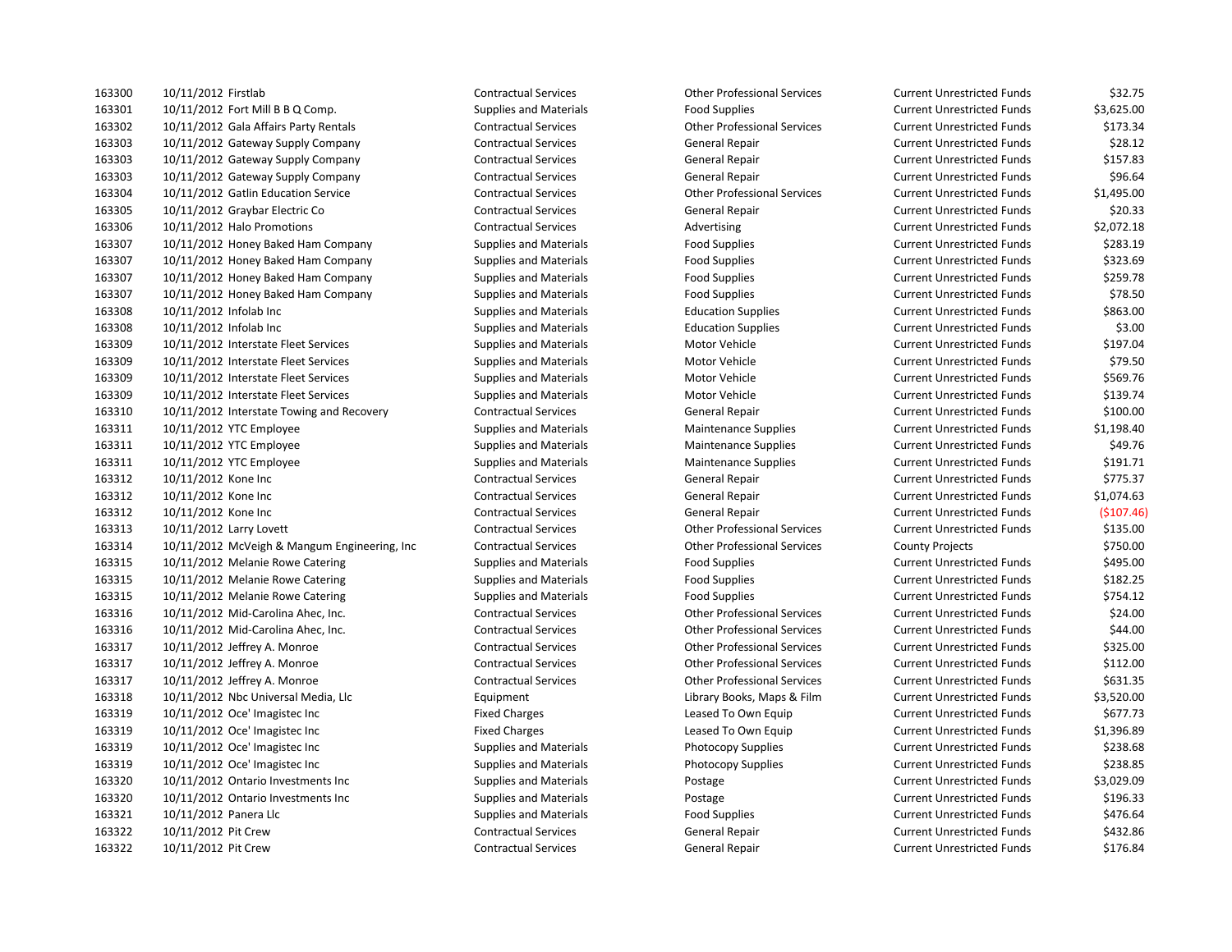| 163300 | 10/11/2012 Firstlab                           | <b>Contractual Services</b>   | <b>Other Professional Services</b> | <b>Current Unrestricted Funds</b> | \$32.75    |
|--------|-----------------------------------------------|-------------------------------|------------------------------------|-----------------------------------|------------|
| 163301 | 10/11/2012 Fort Mill B B Q Comp.              | <b>Supplies and Materials</b> | <b>Food Supplies</b>               | <b>Current Unrestricted Funds</b> | \$3,625.00 |
| 163302 | 10/11/2012 Gala Affairs Party Rentals         | <b>Contractual Services</b>   | <b>Other Professional Services</b> | <b>Current Unrestricted Funds</b> | \$173.34   |
| 163303 | 10/11/2012 Gateway Supply Company             | <b>Contractual Services</b>   | <b>General Repair</b>              | <b>Current Unrestricted Funds</b> | \$28.12    |
| 163303 | 10/11/2012 Gateway Supply Company             | <b>Contractual Services</b>   | General Repair                     | <b>Current Unrestricted Funds</b> | \$157.83   |
| 163303 | 10/11/2012 Gateway Supply Company             | <b>Contractual Services</b>   | <b>General Repair</b>              | <b>Current Unrestricted Funds</b> | \$96.64    |
| 163304 | 10/11/2012 Gatlin Education Service           | <b>Contractual Services</b>   | <b>Other Professional Services</b> | <b>Current Unrestricted Funds</b> | \$1,495.00 |
| 163305 | 10/11/2012 Graybar Electric Co                | <b>Contractual Services</b>   | General Repair                     | <b>Current Unrestricted Funds</b> | \$20.33    |
| 163306 | 10/11/2012 Halo Promotions                    | <b>Contractual Services</b>   | Advertising                        | <b>Current Unrestricted Funds</b> | \$2,072.18 |
| 163307 | 10/11/2012 Honey Baked Ham Company            | <b>Supplies and Materials</b> | <b>Food Supplies</b>               | <b>Current Unrestricted Funds</b> | \$283.19   |
| 163307 | 10/11/2012 Honey Baked Ham Company            | Supplies and Materials        | <b>Food Supplies</b>               | <b>Current Unrestricted Funds</b> | \$323.69   |
| 163307 | 10/11/2012 Honey Baked Ham Company            | Supplies and Materials        | <b>Food Supplies</b>               | <b>Current Unrestricted Funds</b> | \$259.78   |
| 163307 | 10/11/2012 Honey Baked Ham Company            | <b>Supplies and Materials</b> | <b>Food Supplies</b>               | <b>Current Unrestricted Funds</b> | \$78.50    |
| 163308 | 10/11/2012 Infolab Inc                        | <b>Supplies and Materials</b> | <b>Education Supplies</b>          | <b>Current Unrestricted Funds</b> | \$863.00   |
| 163308 | 10/11/2012 Infolab Inc                        | <b>Supplies and Materials</b> | <b>Education Supplies</b>          | <b>Current Unrestricted Funds</b> | \$3.00     |
| 163309 | 10/11/2012 Interstate Fleet Services          | Supplies and Materials        | Motor Vehicle                      | <b>Current Unrestricted Funds</b> | \$197.04   |
| 163309 | 10/11/2012 Interstate Fleet Services          | <b>Supplies and Materials</b> | Motor Vehicle                      | <b>Current Unrestricted Funds</b> | \$79.50    |
| 163309 | 10/11/2012 Interstate Fleet Services          | <b>Supplies and Materials</b> | Motor Vehicle                      | <b>Current Unrestricted Funds</b> | \$569.76   |
| 163309 | 10/11/2012 Interstate Fleet Services          | <b>Supplies and Materials</b> | Motor Vehicle                      | <b>Current Unrestricted Funds</b> | \$139.74   |
| 163310 | 10/11/2012 Interstate Towing and Recovery     | <b>Contractual Services</b>   | General Repair                     | <b>Current Unrestricted Funds</b> | \$100.00   |
| 163311 | 10/11/2012 YTC Employee                       | <b>Supplies and Materials</b> | <b>Maintenance Supplies</b>        | <b>Current Unrestricted Funds</b> | \$1,198.40 |
| 163311 | 10/11/2012 YTC Employee                       | <b>Supplies and Materials</b> | <b>Maintenance Supplies</b>        | <b>Current Unrestricted Funds</b> | \$49.76    |
| 163311 | 10/11/2012 YTC Employee                       | <b>Supplies and Materials</b> | <b>Maintenance Supplies</b>        | <b>Current Unrestricted Funds</b> | \$191.71   |
| 163312 | 10/11/2012 Kone Inc                           | <b>Contractual Services</b>   | <b>General Repair</b>              | <b>Current Unrestricted Funds</b> | \$775.37   |
| 163312 | 10/11/2012 Kone Inc                           | <b>Contractual Services</b>   | General Repair                     | <b>Current Unrestricted Funds</b> | \$1,074.63 |
| 163312 | 10/11/2012 Kone Inc                           | <b>Contractual Services</b>   | General Repair                     | <b>Current Unrestricted Funds</b> | (5107.46)  |
| 163313 | 10/11/2012 Larry Lovett                       | <b>Contractual Services</b>   | <b>Other Professional Services</b> | <b>Current Unrestricted Funds</b> | \$135.00   |
| 163314 | 10/11/2012 McVeigh & Mangum Engineering, Inc. | <b>Contractual Services</b>   | <b>Other Professional Services</b> | <b>County Projects</b>            | \$750.00   |
| 163315 | 10/11/2012 Melanie Rowe Catering              | <b>Supplies and Materials</b> | <b>Food Supplies</b>               | <b>Current Unrestricted Funds</b> | \$495.00   |
| 163315 | 10/11/2012 Melanie Rowe Catering              | Supplies and Materials        | <b>Food Supplies</b>               | <b>Current Unrestricted Funds</b> | \$182.25   |
| 163315 | 10/11/2012 Melanie Rowe Catering              | <b>Supplies and Materials</b> | <b>Food Supplies</b>               | <b>Current Unrestricted Funds</b> | \$754.12   |
| 163316 | 10/11/2012 Mid-Carolina Ahec, Inc.            | <b>Contractual Services</b>   | <b>Other Professional Services</b> | <b>Current Unrestricted Funds</b> | \$24.00    |
| 163316 | 10/11/2012 Mid-Carolina Ahec, Inc.            | <b>Contractual Services</b>   | <b>Other Professional Services</b> | <b>Current Unrestricted Funds</b> | \$44.00    |
| 163317 | 10/11/2012 Jeffrey A. Monroe                  | <b>Contractual Services</b>   | <b>Other Professional Services</b> | <b>Current Unrestricted Funds</b> | \$325.00   |
| 163317 | 10/11/2012 Jeffrey A. Monroe                  | <b>Contractual Services</b>   | <b>Other Professional Services</b> | <b>Current Unrestricted Funds</b> | \$112.00   |
| 163317 | 10/11/2012 Jeffrey A. Monroe                  | <b>Contractual Services</b>   | <b>Other Professional Services</b> | <b>Current Unrestricted Funds</b> | \$631.35   |
| 163318 | 10/11/2012 Nbc Universal Media, Llc           | Equipment                     | Library Books, Maps & Film         | <b>Current Unrestricted Funds</b> | \$3,520.00 |
| 163319 | 10/11/2012 Oce' Imagistec Inc                 | <b>Fixed Charges</b>          | Leased To Own Equip                | <b>Current Unrestricted Funds</b> | \$677.73   |
| 163319 | 10/11/2012 Oce' Imagistec Inc                 | <b>Fixed Charges</b>          | Leased To Own Equip                | <b>Current Unrestricted Funds</b> | \$1,396.89 |
| 163319 | 10/11/2012 Oce' Imagistec Inc                 | <b>Supplies and Materials</b> | <b>Photocopy Supplies</b>          | <b>Current Unrestricted Funds</b> | \$238.68   |
| 163319 | 10/11/2012 Oce' Imagistec Inc                 | <b>Supplies and Materials</b> | <b>Photocopy Supplies</b>          | <b>Current Unrestricted Funds</b> | \$238.85   |
| 163320 | 10/11/2012 Ontario Investments Inc            | Supplies and Materials        | Postage                            | <b>Current Unrestricted Funds</b> | \$3,029.09 |
| 163320 | 10/11/2012 Ontario Investments Inc            | <b>Supplies and Materials</b> | Postage                            | <b>Current Unrestricted Funds</b> | \$196.33   |
| 163321 | 10/11/2012 Panera Llc                         | <b>Supplies and Materials</b> | <b>Food Supplies</b>               | <b>Current Unrestricted Funds</b> | \$476.64   |
| 163322 | 10/11/2012 Pit Crew                           | <b>Contractual Services</b>   | <b>General Repair</b>              | <b>Current Unrestricted Funds</b> | \$432.86   |
| 163322 | 10/11/2012 Pit Crew                           | <b>Contractual Services</b>   | General Repair                     | <b>Current Unrestricted Funds</b> | \$176.84   |

| <b>Current Unrestricted Funds</b> | \$32.75    |
|-----------------------------------|------------|
| <b>Current Unrestricted Funds</b> | \$3,625.00 |
| <b>Current Unrestricted Funds</b> | \$173.34   |
| <b>Current Unrestricted Funds</b> | \$28.12    |
| <b>Current Unrestricted Funds</b> | \$157.83   |
| <b>Current Unrestricted Funds</b> | \$96.64    |
| <b>Current Unrestricted Funds</b> | \$1,495.00 |
| <b>Current Unrestricted Funds</b> | \$20.33    |
| <b>Current Unrestricted Funds</b> | \$2.072.18 |
| <b>Current Unrestricted Funds</b> | \$283.19   |
| <b>Current Unrestricted Funds</b> | \$323.69   |
| <b>Current Unrestricted Funds</b> | \$259.78   |
| <b>Current Unrestricted Funds</b> | \$78.50    |
| <b>Current Unrestricted Funds</b> | \$863.00   |
| <b>Current Unrestricted Funds</b> | \$3.00     |
| <b>Current Unrestricted Funds</b> | \$197.04   |
| <b>Current Unrestricted Funds</b> | \$79.50    |
| <b>Current Unrestricted Funds</b> | \$569.76   |
| <b>Current Unrestricted Funds</b> | \$139.74   |
| <b>Current Unrestricted Funds</b> | \$100.00   |
| <b>Current Unrestricted Funds</b> | \$1,198.40 |
| <b>Current Unrestricted Funds</b> | \$49.76    |
| <b>Current Unrestricted Funds</b> | \$191.71   |
| <b>Current Unrestricted Funds</b> | \$775.37   |
| <b>Current Unrestricted Funds</b> | \$1,074.63 |
| <b>Current Unrestricted Funds</b> | (\$107.46  |
| <b>Current Unrestricted Funds</b> | \$135.00   |
| <b>County Projects</b>            | \$750.00   |
| <b>Current Unrestricted Funds</b> | \$495.00   |
| <b>Current Unrestricted Funds</b> | \$182.25   |
| <b>Current Unrestricted Funds</b> | \$754.12   |
| <b>Current Unrestricted Funds</b> | \$24.00    |
| <b>Current Unrestricted Funds</b> | \$44.00    |
| <b>Current Unrestricted Funds</b> | \$325.00   |
| <b>Current Unrestricted Funds</b> | \$112.00   |
| <b>Current Unrestricted Funds</b> | \$631.35   |
| <b>Current Unrestricted Funds</b> | \$3,520.00 |
| <b>Current Unrestricted Funds</b> | \$677.73   |
| <b>Current Unrestricted Funds</b> | \$1,396.89 |
| <b>Current Unrestricted Funds</b> | \$238.68   |
| <b>Current Unrestricted Funds</b> | \$238.85   |
| <b>Current Unrestricted Funds</b> | \$3,029.09 |
| <b>Current Unrestricted Funds</b> | \$196.33   |
| <b>Current Unrestricted Funds</b> | \$476.64   |
| <b>Current Unrestricted Funds</b> | \$432.86   |
| <b>Current Unrestricted Funds</b> | \$176.84   |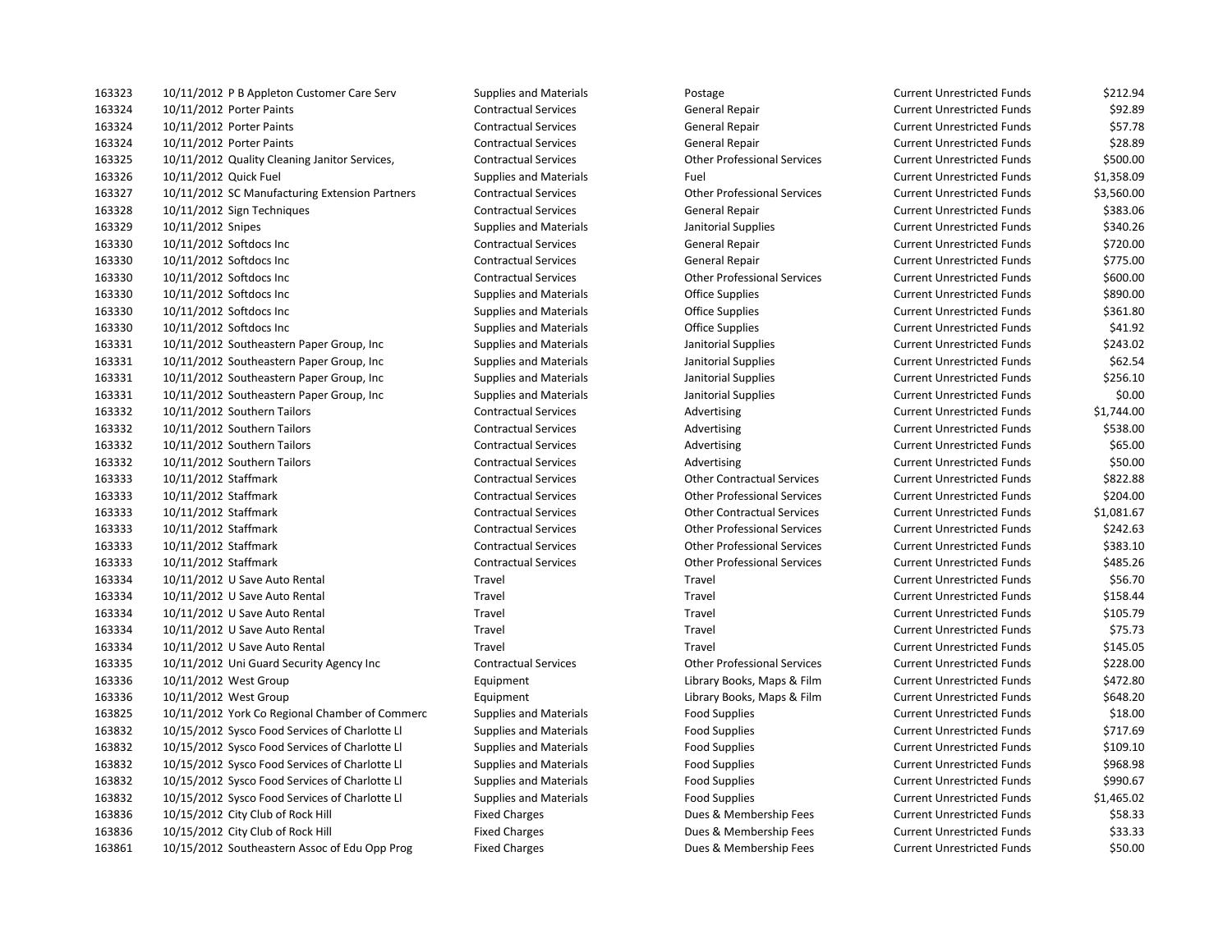| 163323 | 10/11/2012 P B Appleton Customer Care Serv     | Supplies and Materials        | Postage                            | Current Unrestricted Funds        | \$212.94   |
|--------|------------------------------------------------|-------------------------------|------------------------------------|-----------------------------------|------------|
| 163324 | 10/11/2012 Porter Paints                       | <b>Contractual Services</b>   | General Repair                     | <b>Current Unrestricted Funds</b> | \$92.89    |
| 163324 | 10/11/2012 Porter Paints                       | <b>Contractual Services</b>   | <b>General Repair</b>              | <b>Current Unrestricted Funds</b> | \$57.78    |
| 163324 | 10/11/2012 Porter Paints                       | <b>Contractual Services</b>   | General Repair                     | <b>Current Unrestricted Funds</b> | \$28.89    |
| 163325 | 10/11/2012 Quality Cleaning Janitor Services,  | <b>Contractual Services</b>   | <b>Other Professional Services</b> | <b>Current Unrestricted Funds</b> | \$500.00   |
| 163326 | 10/11/2012 Quick Fuel                          | <b>Supplies and Materials</b> | Fuel                               | <b>Current Unrestricted Funds</b> | \$1,358.09 |
| 163327 | 10/11/2012 SC Manufacturing Extension Partners | <b>Contractual Services</b>   | <b>Other Professional Services</b> | <b>Current Unrestricted Funds</b> | \$3,560.00 |
| 163328 | 10/11/2012 Sign Techniques                     | <b>Contractual Services</b>   | General Repair                     | <b>Current Unrestricted Funds</b> | \$383.06   |
| 163329 | 10/11/2012 Snipes                              | <b>Supplies and Materials</b> | Janitorial Supplies                | <b>Current Unrestricted Funds</b> | \$340.26   |
| 163330 | 10/11/2012 Softdocs Inc                        | <b>Contractual Services</b>   | General Repair                     | <b>Current Unrestricted Funds</b> | \$720.00   |
| 163330 | 10/11/2012 Softdocs Inc                        | <b>Contractual Services</b>   | General Repair                     | <b>Current Unrestricted Funds</b> | \$775.00   |
| 163330 | 10/11/2012 Softdocs Inc                        | <b>Contractual Services</b>   | <b>Other Professional Services</b> | <b>Current Unrestricted Funds</b> | \$600.00   |
| 163330 | 10/11/2012 Softdocs Inc                        | <b>Supplies and Materials</b> | <b>Office Supplies</b>             | <b>Current Unrestricted Funds</b> | \$890.00   |
| 163330 | 10/11/2012 Softdocs Inc                        | <b>Supplies and Materials</b> | <b>Office Supplies</b>             | <b>Current Unrestricted Funds</b> | \$361.80   |
| 163330 | 10/11/2012 Softdocs Inc                        | <b>Supplies and Materials</b> | <b>Office Supplies</b>             | <b>Current Unrestricted Funds</b> | \$41.92    |
| 163331 | 10/11/2012 Southeastern Paper Group, Inc       | <b>Supplies and Materials</b> | Janitorial Supplies                | <b>Current Unrestricted Funds</b> | \$243.02   |
| 163331 | 10/11/2012 Southeastern Paper Group, Inc.      | <b>Supplies and Materials</b> | Janitorial Supplies                | <b>Current Unrestricted Funds</b> | \$62.54    |
| 163331 | 10/11/2012 Southeastern Paper Group, Inc       | <b>Supplies and Materials</b> | Janitorial Supplies                | <b>Current Unrestricted Funds</b> | \$256.10   |
| 163331 | 10/11/2012 Southeastern Paper Group, Inc.      | <b>Supplies and Materials</b> | Janitorial Supplies                | <b>Current Unrestricted Funds</b> | \$0.00     |
| 163332 | 10/11/2012 Southern Tailors                    | <b>Contractual Services</b>   | Advertising                        | <b>Current Unrestricted Funds</b> | \$1,744.00 |
| 163332 | 10/11/2012 Southern Tailors                    | <b>Contractual Services</b>   | Advertising                        | <b>Current Unrestricted Funds</b> | \$538.00   |
| 163332 | 10/11/2012 Southern Tailors                    | <b>Contractual Services</b>   | Advertising                        | <b>Current Unrestricted Funds</b> | \$65.00    |
| 163332 | 10/11/2012 Southern Tailors                    | <b>Contractual Services</b>   | Advertising                        | <b>Current Unrestricted Funds</b> | \$50.00    |
| 163333 | 10/11/2012 Staffmark                           | <b>Contractual Services</b>   | <b>Other Contractual Services</b>  | <b>Current Unrestricted Funds</b> | \$822.88   |
| 163333 | 10/11/2012 Staffmark                           | <b>Contractual Services</b>   | <b>Other Professional Services</b> | <b>Current Unrestricted Funds</b> | \$204.00   |
| 163333 | 10/11/2012 Staffmark                           | <b>Contractual Services</b>   | <b>Other Contractual Services</b>  | <b>Current Unrestricted Funds</b> | \$1,081.67 |
| 163333 | 10/11/2012 Staffmark                           | <b>Contractual Services</b>   | <b>Other Professional Services</b> | <b>Current Unrestricted Funds</b> | \$242.63   |
| 163333 | 10/11/2012 Staffmark                           | <b>Contractual Services</b>   | <b>Other Professional Services</b> | <b>Current Unrestricted Funds</b> | \$383.10   |
| 163333 | 10/11/2012 Staffmark                           | <b>Contractual Services</b>   | <b>Other Professional Services</b> | <b>Current Unrestricted Funds</b> | \$485.26   |
| 163334 | 10/11/2012 U Save Auto Rental                  | Travel                        | Travel                             | <b>Current Unrestricted Funds</b> | \$56.70    |
| 163334 | 10/11/2012 U Save Auto Rental                  | Travel                        | Travel                             | <b>Current Unrestricted Funds</b> | \$158.44   |
| 163334 | 10/11/2012 U Save Auto Rental                  | Travel                        | Travel                             | <b>Current Unrestricted Funds</b> | \$105.79   |
| 163334 | 10/11/2012 U Save Auto Rental                  | Travel                        | Travel                             | <b>Current Unrestricted Funds</b> | \$75.73    |
| 163334 | 10/11/2012 U Save Auto Rental                  | Travel                        | Travel                             | <b>Current Unrestricted Funds</b> | \$145.05   |
| 163335 | 10/11/2012 Uni Guard Security Agency Inc       | <b>Contractual Services</b>   | <b>Other Professional Services</b> | <b>Current Unrestricted Funds</b> | \$228.00   |
| 163336 | 10/11/2012 West Group                          | Equipment                     | Library Books, Maps & Film         | <b>Current Unrestricted Funds</b> | \$472.80   |
| 163336 | 10/11/2012 West Group                          | Equipment                     | Library Books, Maps & Film         | <b>Current Unrestricted Funds</b> | \$648.20   |
| 163825 | 10/11/2012 York Co Regional Chamber of Commerc | <b>Supplies and Materials</b> | <b>Food Supplies</b>               | <b>Current Unrestricted Funds</b> | \$18.00    |
| 163832 | 10/15/2012 Sysco Food Services of Charlotte Ll | <b>Supplies and Materials</b> | <b>Food Supplies</b>               | <b>Current Unrestricted Funds</b> | \$717.69   |
| 163832 | 10/15/2012 Sysco Food Services of Charlotte Ll | <b>Supplies and Materials</b> | <b>Food Supplies</b>               | <b>Current Unrestricted Funds</b> | \$109.10   |
| 163832 | 10/15/2012 Sysco Food Services of Charlotte Ll | <b>Supplies and Materials</b> | <b>Food Supplies</b>               | <b>Current Unrestricted Funds</b> | \$968.98   |
| 163832 | 10/15/2012 Sysco Food Services of Charlotte Ll | <b>Supplies and Materials</b> | <b>Food Supplies</b>               | <b>Current Unrestricted Funds</b> | \$990.67   |
| 163832 | 10/15/2012 Sysco Food Services of Charlotte Ll | <b>Supplies and Materials</b> | <b>Food Supplies</b>               | <b>Current Unrestricted Funds</b> | \$1,465.02 |
| 163836 | 10/15/2012 City Club of Rock Hill              | <b>Fixed Charges</b>          | Dues & Membership Fees             | <b>Current Unrestricted Funds</b> | \$58.33    |
| 163836 | 10/15/2012 City Club of Rock Hill              | <b>Fixed Charges</b>          | Dues & Membership Fees             | <b>Current Unrestricted Funds</b> | \$33.33    |
| 163861 | 10/15/2012 Southeastern Assoc of Edu Onn Prog  | <b>Fixed Charges</b>          | Dues & Membershin Fees             | Current Unrestricted Funds        | \$50.00    |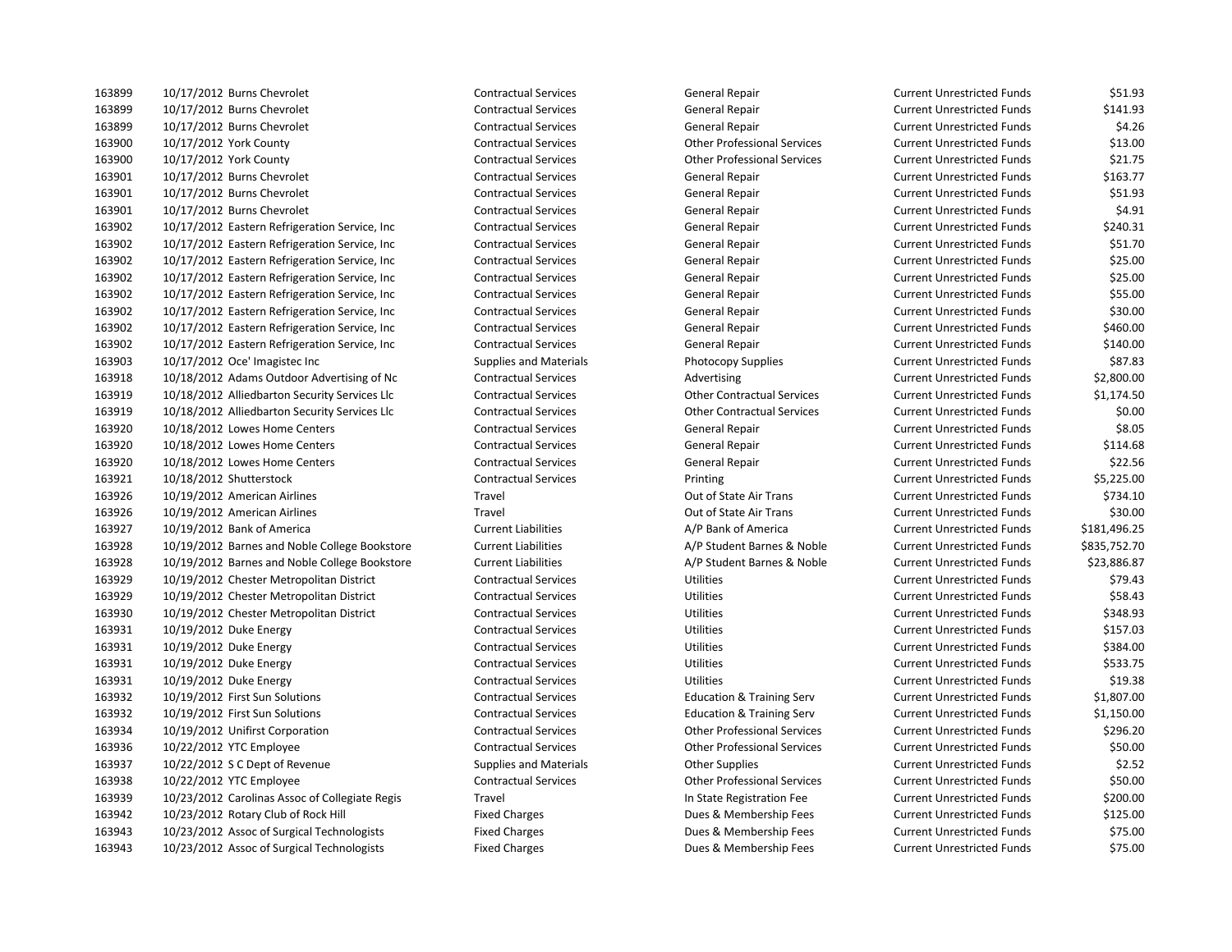| 163899 | 10/17/2012 Burns Chevrolet                     | <b>Contractual Services</b>   | General Repair                       | <b>Current Unrestricted Funds</b> | \$51.93      |
|--------|------------------------------------------------|-------------------------------|--------------------------------------|-----------------------------------|--------------|
| 163899 | 10/17/2012 Burns Chevrolet                     | <b>Contractual Services</b>   | General Repair                       | <b>Current Unrestricted Funds</b> | \$141.93     |
| 163899 | 10/17/2012 Burns Chevrolet                     | <b>Contractual Services</b>   | General Repair                       | <b>Current Unrestricted Funds</b> | \$4.26       |
| 163900 | 10/17/2012 York County                         | <b>Contractual Services</b>   | <b>Other Professional Services</b>   | <b>Current Unrestricted Funds</b> | \$13.00      |
| 163900 | 10/17/2012 York County                         | <b>Contractual Services</b>   | <b>Other Professional Services</b>   | <b>Current Unrestricted Funds</b> | \$21.75      |
| 163901 | 10/17/2012 Burns Chevrolet                     | <b>Contractual Services</b>   | General Repair                       | <b>Current Unrestricted Funds</b> | \$163.77     |
| 163901 | 10/17/2012 Burns Chevrolet                     | <b>Contractual Services</b>   | General Repair                       | <b>Current Unrestricted Funds</b> | \$51.93      |
| 163901 | 10/17/2012 Burns Chevrolet                     | <b>Contractual Services</b>   | General Repair                       | <b>Current Unrestricted Funds</b> | \$4.91       |
| 163902 | 10/17/2012 Eastern Refrigeration Service, Inc  | <b>Contractual Services</b>   | General Repair                       | <b>Current Unrestricted Funds</b> | \$240.31     |
| 163902 | 10/17/2012 Eastern Refrigeration Service, Inc  | <b>Contractual Services</b>   | General Repair                       | <b>Current Unrestricted Funds</b> | \$51.70      |
| 163902 | 10/17/2012 Eastern Refrigeration Service, Inc. | <b>Contractual Services</b>   | General Repair                       | <b>Current Unrestricted Funds</b> | \$25.00      |
| 163902 | 10/17/2012 Eastern Refrigeration Service, Inc  | <b>Contractual Services</b>   | General Repair                       | <b>Current Unrestricted Funds</b> | \$25.00      |
| 163902 | 10/17/2012 Eastern Refrigeration Service, Inc. | <b>Contractual Services</b>   | General Repair                       | <b>Current Unrestricted Funds</b> | \$55.00      |
| 163902 | 10/17/2012 Eastern Refrigeration Service, Inc  | <b>Contractual Services</b>   | General Repair                       | <b>Current Unrestricted Funds</b> | \$30.00      |
| 163902 | 10/17/2012 Eastern Refrigeration Service, Inc  | <b>Contractual Services</b>   | General Repair                       | <b>Current Unrestricted Funds</b> | \$460.00     |
| 163902 | 10/17/2012 Eastern Refrigeration Service, Inc. | <b>Contractual Services</b>   | General Repair                       | <b>Current Unrestricted Funds</b> | \$140.00     |
| 163903 | 10/17/2012 Oce' Imagistec Inc                  | <b>Supplies and Materials</b> | Photocopy Supplies                   | <b>Current Unrestricted Funds</b> | \$87.83      |
| 163918 | 10/18/2012 Adams Outdoor Advertising of Nc     | <b>Contractual Services</b>   | Advertising                          | <b>Current Unrestricted Funds</b> | \$2,800.00   |
| 163919 | 10/18/2012 Alliedbarton Security Services Llc  | <b>Contractual Services</b>   | <b>Other Contractual Services</b>    | <b>Current Unrestricted Funds</b> | \$1,174.50   |
| 163919 | 10/18/2012 Alliedbarton Security Services Llc  | <b>Contractual Services</b>   | <b>Other Contractual Services</b>    | <b>Current Unrestricted Funds</b> | \$0.00       |
| 163920 | 10/18/2012 Lowes Home Centers                  | <b>Contractual Services</b>   | General Repair                       | <b>Current Unrestricted Funds</b> | \$8.05       |
| 163920 | 10/18/2012 Lowes Home Centers                  | <b>Contractual Services</b>   | General Repair                       | <b>Current Unrestricted Funds</b> | \$114.68     |
| 163920 | 10/18/2012 Lowes Home Centers                  | <b>Contractual Services</b>   | General Repair                       | <b>Current Unrestricted Funds</b> | \$22.56      |
| 163921 | 10/18/2012 Shutterstock                        | <b>Contractual Services</b>   | Printing                             | <b>Current Unrestricted Funds</b> | \$5,225.00   |
| 163926 | 10/19/2012 American Airlines                   | Travel                        | Out of State Air Trans               | <b>Current Unrestricted Funds</b> | \$734.10     |
| 163926 | 10/19/2012 American Airlines                   | Travel                        | Out of State Air Trans               | <b>Current Unrestricted Funds</b> | \$30.00      |
| 163927 | 10/19/2012 Bank of America                     | <b>Current Liabilities</b>    | A/P Bank of America                  | <b>Current Unrestricted Funds</b> | \$181,496.25 |
| 163928 | 10/19/2012 Barnes and Noble College Bookstore  | <b>Current Liabilities</b>    | A/P Student Barnes & Noble           | <b>Current Unrestricted Funds</b> | \$835,752.70 |
| 163928 | 10/19/2012 Barnes and Noble College Bookstore  | <b>Current Liabilities</b>    | A/P Student Barnes & Noble           | <b>Current Unrestricted Funds</b> | \$23,886.87  |
| 163929 | 10/19/2012 Chester Metropolitan District       | <b>Contractual Services</b>   | Utilities                            | <b>Current Unrestricted Funds</b> | \$79.43      |
| 163929 | 10/19/2012 Chester Metropolitan District       | <b>Contractual Services</b>   | Utilities                            | <b>Current Unrestricted Funds</b> | \$58.43      |
| 163930 | 10/19/2012 Chester Metropolitan District       | <b>Contractual Services</b>   | Utilities                            | <b>Current Unrestricted Funds</b> | \$348.93     |
| 163931 | 10/19/2012 Duke Energy                         | <b>Contractual Services</b>   | Utilities                            | <b>Current Unrestricted Funds</b> | \$157.03     |
| 163931 | 10/19/2012 Duke Energy                         | <b>Contractual Services</b>   | Utilities                            | <b>Current Unrestricted Funds</b> | \$384.00     |
| 163931 | 10/19/2012 Duke Energy                         | <b>Contractual Services</b>   | Utilities                            | <b>Current Unrestricted Funds</b> | \$533.75     |
| 163931 | 10/19/2012 Duke Energy                         | <b>Contractual Services</b>   | Utilities                            | <b>Current Unrestricted Funds</b> | \$19.38      |
| 163932 | 10/19/2012 First Sun Solutions                 | <b>Contractual Services</b>   | <b>Education &amp; Training Serv</b> | <b>Current Unrestricted Funds</b> | \$1,807.00   |
| 163932 | 10/19/2012 First Sun Solutions                 | <b>Contractual Services</b>   | <b>Education &amp; Training Serv</b> | <b>Current Unrestricted Funds</b> | \$1,150.00   |
| 163934 | 10/19/2012 Unifirst Corporation                | <b>Contractual Services</b>   | <b>Other Professional Services</b>   | <b>Current Unrestricted Funds</b> | \$296.20     |
| 163936 | 10/22/2012 YTC Employee                        | <b>Contractual Services</b>   | <b>Other Professional Services</b>   | <b>Current Unrestricted Funds</b> | \$50.00      |
| 163937 | 10/22/2012 S C Dept of Revenue                 | <b>Supplies and Materials</b> | <b>Other Supplies</b>                | <b>Current Unrestricted Funds</b> | \$2.52       |
| 163938 | 10/22/2012 YTC Employee                        | <b>Contractual Services</b>   | <b>Other Professional Services</b>   | <b>Current Unrestricted Funds</b> | \$50.00      |
| 163939 | 10/23/2012 Carolinas Assoc of Collegiate Regis | Travel                        | In State Registration Fee            | <b>Current Unrestricted Funds</b> | \$200.00     |
| 163942 | 10/23/2012 Rotary Club of Rock Hill            | <b>Fixed Charges</b>          | Dues & Membership Fees               | <b>Current Unrestricted Funds</b> | \$125.00     |
| 163943 | 10/23/2012 Assoc of Surgical Technologists     | <b>Fixed Charges</b>          | Dues & Membership Fees               | <b>Current Unrestricted Funds</b> | \$75.00      |
| 163943 | 10/23/2012 Assoc of Surgical Technologists     | <b>Fixed Charges</b>          | Dues & Membership Fees               | <b>Current Unrestricted Funds</b> | \$75.00      |

| Current Unrestricted Funds | \$51.93      |
|----------------------------|--------------|
| Current Unrestricted Funds | \$141.93     |
| Current Unrestricted Funds | \$4.26       |
| Current Unrestricted Funds | \$13.00      |
| Current Unrestricted Funds | \$21.75      |
| Current Unrestricted Funds | \$163.77     |
| Current Unrestricted Funds | \$51.93      |
| Current Unrestricted Funds | \$4.91       |
| Current Unrestricted Funds | \$240.31     |
| Current Unrestricted Funds | \$51.70      |
| Current Unrestricted Funds | \$25.00      |
| Current Unrestricted Funds | \$25.00      |
| Current Unrestricted Funds | \$55.00      |
| Current Unrestricted Funds | \$30.00      |
| Current Unrestricted Funds | \$460.00     |
| Current Unrestricted Funds | \$140.00     |
| Current Unrestricted Funds | \$87.83      |
| Current Unrestricted Funds | \$2,800.00   |
| Current Unrestricted Funds | \$1,174.50   |
| Current Unrestricted Funds | \$0.00       |
| Current Unrestricted Funds | \$8.05       |
| Current Unrestricted Funds | \$114.68     |
| Current Unrestricted Funds | \$22.56      |
| Current Unrestricted Funds | \$5,225.00   |
| Current Unrestricted Funds | \$734.10     |
| Current Unrestricted Funds | \$30.00      |
| Current Unrestricted Funds | \$181,496.25 |
| Current Unrestricted Funds | \$835,752.70 |
| Current Unrestricted Funds | \$23,886.87  |
| Current Unrestricted Funds | \$79.43      |
| Current Unrestricted Funds | \$58.43      |
| Current Unrestricted Funds | \$348.93     |
| Current Unrestricted Funds | \$157.03     |
| Current Unrestricted Funds | \$384.00     |
| Current Unrestricted Funds | \$533.75     |
| Current Unrestricted Funds | \$19.38      |
| Current Unrestricted Funds | \$1,807.00   |
| Current Unrestricted Funds | \$1,150.00   |
| Current Unrestricted Funds | \$296.20     |
| Current Unrestricted Funds | \$50.00      |
| Current Unrestricted Funds | \$2.52       |
| Current Unrestricted Funds | \$50.00      |
| Current Unrestricted Funds | \$200.00     |
| Current Unrestricted Funds | \$125.00     |
| Current Unrestricted Funds | \$75.00      |
| Current Unrestricted Funds | \$75.00      |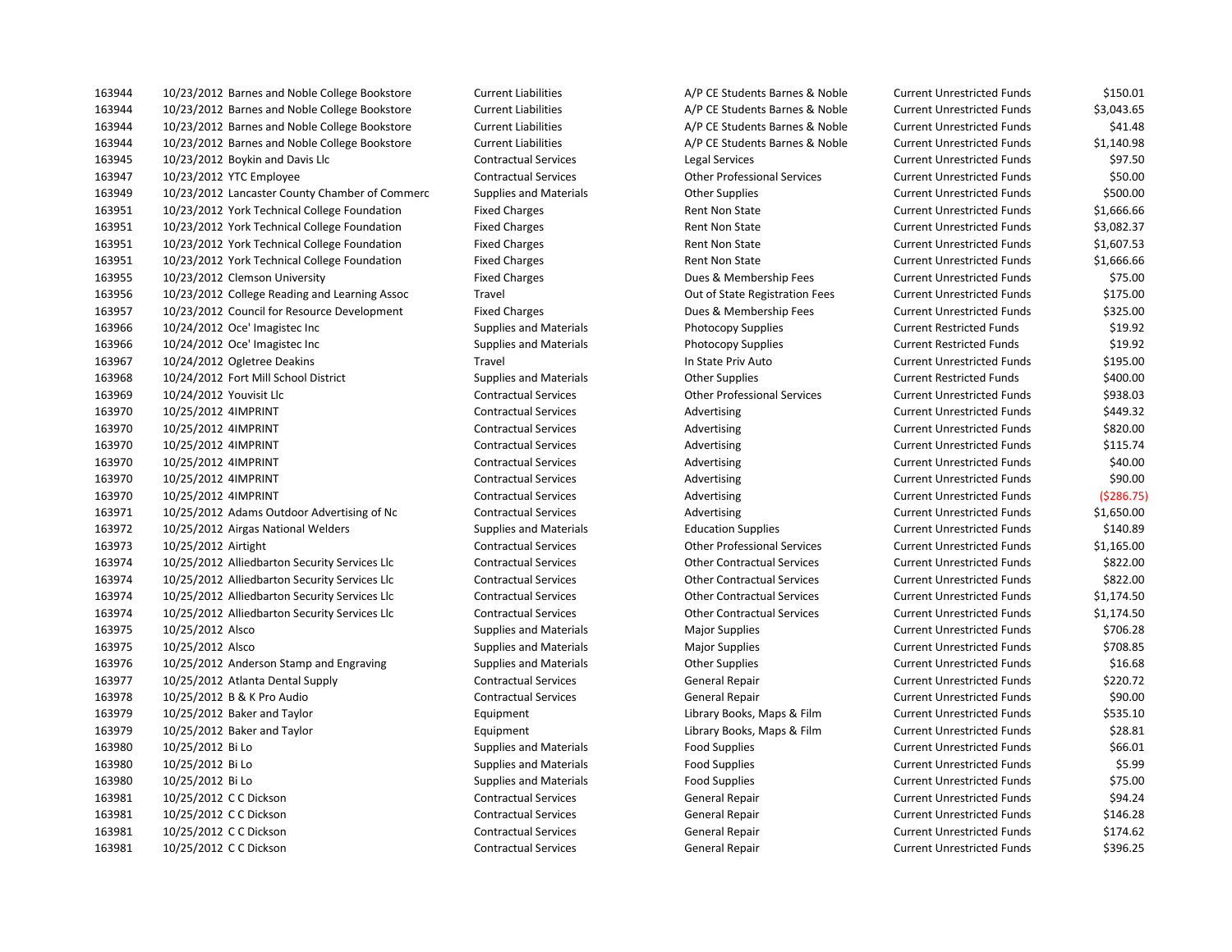| 163944 | 10/23/2012 Barnes and Noble College Bookstore  | <b>Current Liabilities</b>    | A/P CE Students Barnes & Noble     | Current Unrestricted Funds        | \$150.01   |
|--------|------------------------------------------------|-------------------------------|------------------------------------|-----------------------------------|------------|
| 163944 | 10/23/2012 Barnes and Noble College Bookstore  | <b>Current Liabilities</b>    | A/P CE Students Barnes & Noble     | <b>Current Unrestricted Funds</b> | \$3,043.65 |
| 163944 | 10/23/2012 Barnes and Noble College Bookstore  | <b>Current Liabilities</b>    | A/P CE Students Barnes & Noble     | <b>Current Unrestricted Funds</b> | \$41.48    |
| 163944 | 10/23/2012 Barnes and Noble College Bookstore  | <b>Current Liabilities</b>    | A/P CE Students Barnes & Noble     | <b>Current Unrestricted Funds</b> | \$1,140.98 |
| 163945 | 10/23/2012 Boykin and Davis Llc                | <b>Contractual Services</b>   | Legal Services                     | <b>Current Unrestricted Funds</b> | \$97.50    |
| 163947 | 10/23/2012 YTC Employee                        | <b>Contractual Services</b>   | <b>Other Professional Services</b> | <b>Current Unrestricted Funds</b> | \$50.00    |
| 163949 | 10/23/2012 Lancaster County Chamber of Commerc | <b>Supplies and Materials</b> | <b>Other Supplies</b>              | <b>Current Unrestricted Funds</b> | \$500.00   |
| 163951 | 10/23/2012 York Technical College Foundation   | <b>Fixed Charges</b>          | <b>Rent Non State</b>              | <b>Current Unrestricted Funds</b> | \$1,666.66 |
| 163951 | 10/23/2012 York Technical College Foundation   | <b>Fixed Charges</b>          | Rent Non State                     | <b>Current Unrestricted Funds</b> | \$3,082.37 |
| 163951 | 10/23/2012 York Technical College Foundation   | <b>Fixed Charges</b>          | Rent Non State                     | <b>Current Unrestricted Funds</b> | \$1,607.53 |
| 163951 | 10/23/2012 York Technical College Foundation   | <b>Fixed Charges</b>          | Rent Non State                     | <b>Current Unrestricted Funds</b> | \$1,666.66 |
| 163955 | 10/23/2012 Clemson University                  | <b>Fixed Charges</b>          | Dues & Membership Fees             | <b>Current Unrestricted Funds</b> | \$75.00    |
| 163956 | 10/23/2012 College Reading and Learning Assoc  | Travel                        | Out of State Registration Fees     | <b>Current Unrestricted Funds</b> | \$175.00   |
| 163957 | 10/23/2012 Council for Resource Development    | <b>Fixed Charges</b>          | Dues & Membership Fees             | <b>Current Unrestricted Funds</b> | \$325.00   |
| 163966 | 10/24/2012 Oce' Imagistec Inc                  | <b>Supplies and Materials</b> | Photocopy Supplies                 | <b>Current Restricted Funds</b>   | \$19.92    |
| 163966 | 10/24/2012 Oce' Imagistec Inc                  | <b>Supplies and Materials</b> | Photocopy Supplies                 | <b>Current Restricted Funds</b>   | \$19.92    |
| 163967 | 10/24/2012 Ogletree Deakins                    | Travel                        | In State Priv Auto                 | <b>Current Unrestricted Funds</b> | \$195.00   |
| 163968 | 10/24/2012 Fort Mill School District           | <b>Supplies and Materials</b> | <b>Other Supplies</b>              | <b>Current Restricted Funds</b>   | \$400.00   |
| 163969 | 10/24/2012 Youvisit Llc                        | <b>Contractual Services</b>   | <b>Other Professional Services</b> | <b>Current Unrestricted Funds</b> | \$938.03   |
| 163970 | 10/25/2012 4IMPRINT                            | <b>Contractual Services</b>   | Advertising                        | <b>Current Unrestricted Funds</b> | \$449.32   |
| 163970 | 10/25/2012 4IMPRINT                            | <b>Contractual Services</b>   | Advertising                        | <b>Current Unrestricted Funds</b> | \$820.00   |
| 163970 | 10/25/2012 4IMPRINT                            | <b>Contractual Services</b>   | Advertising                        | <b>Current Unrestricted Funds</b> | \$115.74   |
| 163970 | 10/25/2012 4IMPRINT                            | <b>Contractual Services</b>   | Advertising                        | <b>Current Unrestricted Funds</b> | \$40.00    |
| 163970 | 10/25/2012 4IMPRINT                            | <b>Contractual Services</b>   | Advertising                        | <b>Current Unrestricted Funds</b> | \$90.00    |
| 163970 | 10/25/2012 4IMPRINT                            | <b>Contractual Services</b>   | Advertising                        | <b>Current Unrestricted Funds</b> | (5286.75   |
| 163971 | 10/25/2012 Adams Outdoor Advertising of Nc     | <b>Contractual Services</b>   | Advertising                        | <b>Current Unrestricted Funds</b> | \$1,650.00 |
| 163972 | 10/25/2012 Airgas National Welders             | <b>Supplies and Materials</b> | <b>Education Supplies</b>          | <b>Current Unrestricted Funds</b> | \$140.89   |
| 163973 | 10/25/2012 Airtight                            | <b>Contractual Services</b>   | <b>Other Professional Services</b> | <b>Current Unrestricted Funds</b> | \$1,165.00 |
| 163974 | 10/25/2012 Alliedbarton Security Services Llc  | <b>Contractual Services</b>   | <b>Other Contractual Services</b>  | <b>Current Unrestricted Funds</b> | \$822.00   |
| 163974 | 10/25/2012 Alliedbarton Security Services Llc  | <b>Contractual Services</b>   | <b>Other Contractual Services</b>  | <b>Current Unrestricted Funds</b> | \$822.00   |
| 163974 | 10/25/2012 Alliedbarton Security Services Llc  | <b>Contractual Services</b>   | <b>Other Contractual Services</b>  | <b>Current Unrestricted Funds</b> | \$1,174.50 |
| 163974 | 10/25/2012 Alliedbarton Security Services Llc  | <b>Contractual Services</b>   | <b>Other Contractual Services</b>  | <b>Current Unrestricted Funds</b> | \$1,174.50 |
| 163975 | 10/25/2012 Alsco                               | <b>Supplies and Materials</b> | <b>Major Supplies</b>              | <b>Current Unrestricted Funds</b> | \$706.28   |
| 163975 | 10/25/2012 Alsco                               | <b>Supplies and Materials</b> | <b>Major Supplies</b>              | <b>Current Unrestricted Funds</b> | \$708.85   |
| 163976 | 10/25/2012 Anderson Stamp and Engraving        | <b>Supplies and Materials</b> | <b>Other Supplies</b>              | <b>Current Unrestricted Funds</b> | \$16.68    |
| 163977 | 10/25/2012 Atlanta Dental Supply               | <b>Contractual Services</b>   | General Repair                     | <b>Current Unrestricted Funds</b> | \$220.72   |
| 163978 | 10/25/2012 B & K Pro Audio                     | <b>Contractual Services</b>   | General Repair                     | <b>Current Unrestricted Funds</b> | \$90.00    |
| 163979 | 10/25/2012 Baker and Taylor                    | Equipment                     | Library Books, Maps & Film         | <b>Current Unrestricted Funds</b> | \$535.10   |
| 163979 | 10/25/2012 Baker and Taylor                    | Equipment                     | Library Books, Maps & Film         | <b>Current Unrestricted Funds</b> | \$28.81    |
| 163980 | 10/25/2012 Bi Lo                               | <b>Supplies and Materials</b> | <b>Food Supplies</b>               | <b>Current Unrestricted Funds</b> | \$66.01    |
| 163980 | 10/25/2012 Bi Lo                               | <b>Supplies and Materials</b> | <b>Food Supplies</b>               | <b>Current Unrestricted Funds</b> | \$5.99     |
| 163980 | 10/25/2012 Bi Lo                               | <b>Supplies and Materials</b> | <b>Food Supplies</b>               | <b>Current Unrestricted Funds</b> | \$75.00    |
| 163981 | 10/25/2012 C C Dickson                         | <b>Contractual Services</b>   | General Repair                     | <b>Current Unrestricted Funds</b> | \$94.24    |
| 163981 | 10/25/2012 C C Dickson                         | <b>Contractual Services</b>   | General Repair                     | <b>Current Unrestricted Funds</b> | \$146.28   |
| 163981 | 10/25/2012 C C Dickson                         | <b>Contractual Services</b>   | General Repair                     | <b>Current Unrestricted Funds</b> | \$174.62   |
| 163981 | 10/25/2012 C C Dickson                         | <b>Contractual Services</b>   | <b>General Repair</b>              | <b>Current Unrestricted Funds</b> | \$396.25   |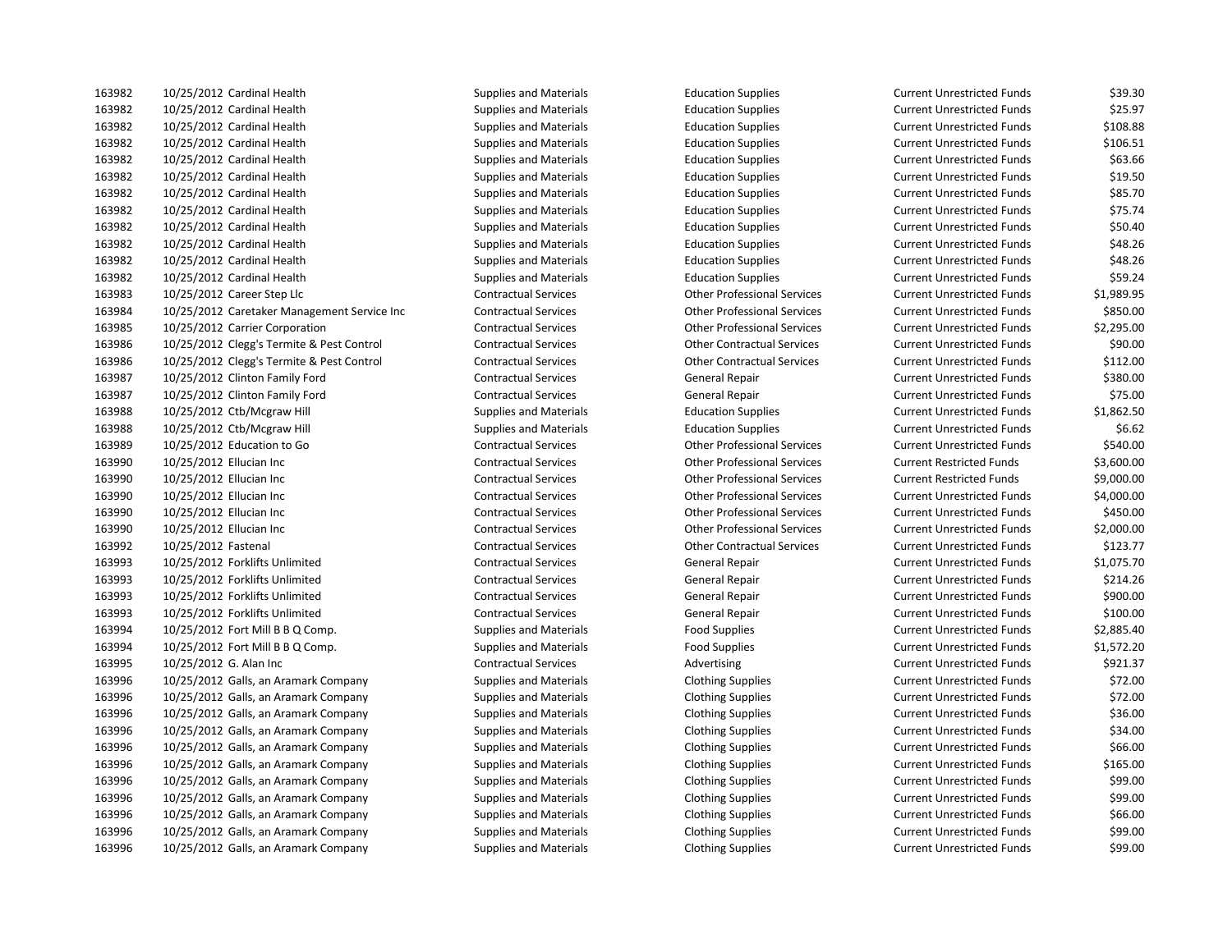| 163982 | 10/25/2012 Cardinal Health                  | <b>Supplies and Materials</b> | <b>Education Supplies</b>          | <b>Current Unrestricted Funds</b> | \$39.30    |
|--------|---------------------------------------------|-------------------------------|------------------------------------|-----------------------------------|------------|
| 163982 | 10/25/2012 Cardinal Health                  | <b>Supplies and Materials</b> | <b>Education Supplies</b>          | <b>Current Unrestricted Funds</b> | \$25.97    |
| 163982 | 10/25/2012 Cardinal Health                  | <b>Supplies and Materials</b> | <b>Education Supplies</b>          | <b>Current Unrestricted Funds</b> | \$108.88   |
| 163982 | 10/25/2012 Cardinal Health                  | <b>Supplies and Materials</b> | <b>Education Supplies</b>          | <b>Current Unrestricted Funds</b> | \$106.51   |
| 163982 | 10/25/2012 Cardinal Health                  | <b>Supplies and Materials</b> | <b>Education Supplies</b>          | <b>Current Unrestricted Funds</b> | \$63.66    |
| 163982 | 10/25/2012 Cardinal Health                  | <b>Supplies and Materials</b> | <b>Education Supplies</b>          | <b>Current Unrestricted Funds</b> | \$19.50    |
| 163982 | 10/25/2012 Cardinal Health                  | <b>Supplies and Materials</b> | <b>Education Supplies</b>          | <b>Current Unrestricted Funds</b> | \$85.70    |
| 163982 | 10/25/2012 Cardinal Health                  | <b>Supplies and Materials</b> | <b>Education Supplies</b>          | <b>Current Unrestricted Funds</b> | \$75.74    |
| 163982 | 10/25/2012 Cardinal Health                  | <b>Supplies and Materials</b> | <b>Education Supplies</b>          | <b>Current Unrestricted Funds</b> | \$50.40    |
| 163982 | 10/25/2012 Cardinal Health                  | <b>Supplies and Materials</b> | <b>Education Supplies</b>          | <b>Current Unrestricted Funds</b> | \$48.26    |
| 163982 | 10/25/2012 Cardinal Health                  | <b>Supplies and Materials</b> | <b>Education Supplies</b>          | <b>Current Unrestricted Funds</b> | \$48.26    |
| 163982 | 10/25/2012 Cardinal Health                  | <b>Supplies and Materials</b> | <b>Education Supplies</b>          | <b>Current Unrestricted Funds</b> | \$59.24    |
| 163983 | 10/25/2012 Career Step Llc                  | <b>Contractual Services</b>   | <b>Other Professional Services</b> | <b>Current Unrestricted Funds</b> | \$1,989.95 |
| 163984 | 10/25/2012 Caretaker Management Service Inc | <b>Contractual Services</b>   | <b>Other Professional Services</b> | <b>Current Unrestricted Funds</b> | \$850.00   |
| 163985 | 10/25/2012 Carrier Corporation              | <b>Contractual Services</b>   | <b>Other Professional Services</b> | <b>Current Unrestricted Funds</b> | \$2,295.00 |
| 163986 | 10/25/2012 Clegg's Termite & Pest Control   | <b>Contractual Services</b>   | <b>Other Contractual Services</b>  | <b>Current Unrestricted Funds</b> | \$90.00    |
| 163986 | 10/25/2012 Clegg's Termite & Pest Control   | <b>Contractual Services</b>   | <b>Other Contractual Services</b>  | <b>Current Unrestricted Funds</b> | \$112.00   |
| 163987 | 10/25/2012 Clinton Family Ford              | <b>Contractual Services</b>   | General Repair                     | <b>Current Unrestricted Funds</b> | \$380.00   |
| 163987 | 10/25/2012 Clinton Family Ford              | <b>Contractual Services</b>   | General Repair                     | <b>Current Unrestricted Funds</b> | \$75.00    |
| 163988 | 10/25/2012 Ctb/Mcgraw Hill                  | <b>Supplies and Materials</b> | <b>Education Supplies</b>          | <b>Current Unrestricted Funds</b> | \$1,862.50 |
| 163988 | 10/25/2012 Ctb/Mcgraw Hill                  | <b>Supplies and Materials</b> | <b>Education Supplies</b>          | <b>Current Unrestricted Funds</b> | \$6.62     |
| 163989 | 10/25/2012 Education to Go                  | <b>Contractual Services</b>   | <b>Other Professional Services</b> | <b>Current Unrestricted Funds</b> | \$540.00   |
| 163990 | 10/25/2012 Ellucian Inc                     | <b>Contractual Services</b>   | <b>Other Professional Services</b> | <b>Current Restricted Funds</b>   | \$3,600.00 |
| 163990 | 10/25/2012 Ellucian Inc                     | <b>Contractual Services</b>   | <b>Other Professional Services</b> | <b>Current Restricted Funds</b>   | \$9,000.00 |
| 163990 | 10/25/2012 Ellucian Inc                     | <b>Contractual Services</b>   | <b>Other Professional Services</b> | <b>Current Unrestricted Funds</b> | \$4,000.00 |
| 163990 | 10/25/2012 Ellucian Inc                     | <b>Contractual Services</b>   | <b>Other Professional Services</b> | <b>Current Unrestricted Funds</b> | \$450.00   |
| 163990 | 10/25/2012 Ellucian Inc                     | <b>Contractual Services</b>   | <b>Other Professional Services</b> | <b>Current Unrestricted Funds</b> | \$2,000.00 |
| 163992 | 10/25/2012 Fastenal                         | <b>Contractual Services</b>   | <b>Other Contractual Services</b>  | <b>Current Unrestricted Funds</b> | \$123.77   |
| 163993 | 10/25/2012 Forklifts Unlimited              | <b>Contractual Services</b>   | General Repair                     | <b>Current Unrestricted Funds</b> | \$1,075.70 |
| 163993 | 10/25/2012 Forklifts Unlimited              | <b>Contractual Services</b>   | General Repair                     | <b>Current Unrestricted Funds</b> | \$214.26   |
| 163993 | 10/25/2012 Forklifts Unlimited              | <b>Contractual Services</b>   | General Repair                     | <b>Current Unrestricted Funds</b> | \$900.00   |
| 163993 | 10/25/2012 Forklifts Unlimited              | <b>Contractual Services</b>   | General Repair                     | <b>Current Unrestricted Funds</b> | \$100.00   |
| 163994 | 10/25/2012 Fort Mill B B Q Comp.            | <b>Supplies and Materials</b> | Food Supplies                      | <b>Current Unrestricted Funds</b> | \$2,885.40 |
| 163994 | 10/25/2012 Fort Mill B B Q Comp.            | <b>Supplies and Materials</b> | <b>Food Supplies</b>               | <b>Current Unrestricted Funds</b> | \$1,572.20 |
| 163995 | 10/25/2012 G. Alan Inc                      | <b>Contractual Services</b>   | Advertising                        | <b>Current Unrestricted Funds</b> | \$921.37   |
| 163996 | 10/25/2012 Galls, an Aramark Company        | <b>Supplies and Materials</b> | <b>Clothing Supplies</b>           | <b>Current Unrestricted Funds</b> | \$72.00    |
| 163996 | 10/25/2012 Galls, an Aramark Company        | <b>Supplies and Materials</b> | <b>Clothing Supplies</b>           | <b>Current Unrestricted Funds</b> | \$72.00    |
| 163996 | 10/25/2012 Galls, an Aramark Company        | <b>Supplies and Materials</b> | <b>Clothing Supplies</b>           | <b>Current Unrestricted Funds</b> | \$36.00    |
| 163996 | 10/25/2012 Galls, an Aramark Company        | <b>Supplies and Materials</b> | <b>Clothing Supplies</b>           | <b>Current Unrestricted Funds</b> | \$34.00    |
| 163996 | 10/25/2012 Galls, an Aramark Company        | <b>Supplies and Materials</b> | <b>Clothing Supplies</b>           | <b>Current Unrestricted Funds</b> | \$66.00    |
| 163996 | 10/25/2012 Galls, an Aramark Company        | <b>Supplies and Materials</b> | <b>Clothing Supplies</b>           | <b>Current Unrestricted Funds</b> | \$165.00   |
| 163996 | 10/25/2012 Galls, an Aramark Company        | <b>Supplies and Materials</b> | <b>Clothing Supplies</b>           | <b>Current Unrestricted Funds</b> | \$99.00    |
| 163996 | 10/25/2012 Galls, an Aramark Company        | <b>Supplies and Materials</b> | <b>Clothing Supplies</b>           | <b>Current Unrestricted Funds</b> | \$99.00    |
| 163996 | 10/25/2012 Galls, an Aramark Company        | <b>Supplies and Materials</b> | <b>Clothing Supplies</b>           | <b>Current Unrestricted Funds</b> | \$66.00    |
| 163996 | 10/25/2012 Galls, an Aramark Company        | <b>Supplies and Materials</b> | <b>Clothing Supplies</b>           | <b>Current Unrestricted Funds</b> | \$99.00    |
| 163996 | 10/25/2012 Galls, an Aramark Company        | Supplies and Materials        | <b>Clothing Supplies</b>           | <b>Current Unrestricted Funds</b> | \$99.00    |

| <b>Current Unrestricted Funds</b> | \$39.30    |
|-----------------------------------|------------|
| <b>Current Unrestricted Funds</b> | \$25.97    |
| Current Unrestricted Funds        | \$108.88   |
| <b>Current Unrestricted Funds</b> | \$106.51   |
| <b>Current Unrestricted Funds</b> | \$63.66    |
| <b>Current Unrestricted Funds</b> | \$19.50    |
| <b>Current Unrestricted Funds</b> | \$85.70    |
| <b>Current Unrestricted Funds</b> | \$75.74    |
| <b>Current Unrestricted Funds</b> | \$50.40    |
| <b>Current Unrestricted Funds</b> | \$48.26    |
| Current Unrestricted Funds        | \$48.26    |
| <b>Current Unrestricted Funds</b> | \$59.24    |
| <b>Current Unrestricted Funds</b> | \$1,989.95 |
| <b>Current Unrestricted Funds</b> | \$850.00   |
| <b>Current Unrestricted Funds</b> | \$2,295.00 |
| Current Unrestricted Funds        | \$90.00    |
| <b>Current Unrestricted Funds</b> | \$112.00   |
| <b>Current Unrestricted Funds</b> | \$380.00   |
| Current Unrestricted Funds        | \$75.00    |
| <b>Current Unrestricted Funds</b> | \$1,862.50 |
| <b>Current Unrestricted Funds</b> | \$6.62     |
| Current Unrestricted Funds        | \$540.00   |
| <b>Current Restricted Funds</b>   | \$3,600.00 |
| <b>Current Restricted Funds</b>   | \$9,000.00 |
| <b>Current Unrestricted Funds</b> | \$4,000.00 |
| <b>Current Unrestricted Funds</b> | \$450.00   |
| <b>Current Unrestricted Funds</b> | \$2,000.00 |
| <b>Current Unrestricted Funds</b> | \$123.77   |
| <b>Current Unrestricted Funds</b> | \$1,075.70 |
| Current Unrestricted Funds        | \$214.26   |
| Current Unrestricted Funds        | \$900.00   |
| <b>Current Unrestricted Funds</b> | \$100.00   |
| <b>Current Unrestricted Funds</b> | \$2,885.40 |
| <b>Current Unrestricted Funds</b> | \$1,572.20 |
| Current Unrestricted Funds        | \$921.37   |
| Current Unrestricted Funds        | \$72.00    |
| <b>Current Unrestricted Funds</b> | \$72.00    |
| Current Unrestricted Funds        | \$36.00    |
| <b>Current Unrestricted Funds</b> | \$34.00    |
| <b>Current Unrestricted Funds</b> | \$66.00    |
| <b>Current Unrestricted Funds</b> | \$165.00   |
| <b>Current Unrestricted Funds</b> | \$99.00    |
| <b>Current Unrestricted Funds</b> | \$99.00    |
| <b>Current Unrestricted Funds</b> | \$66.00    |
| Current Unrestricted Funds        | \$99.00    |
| Current Unrestricted Funds        | \$99.00    |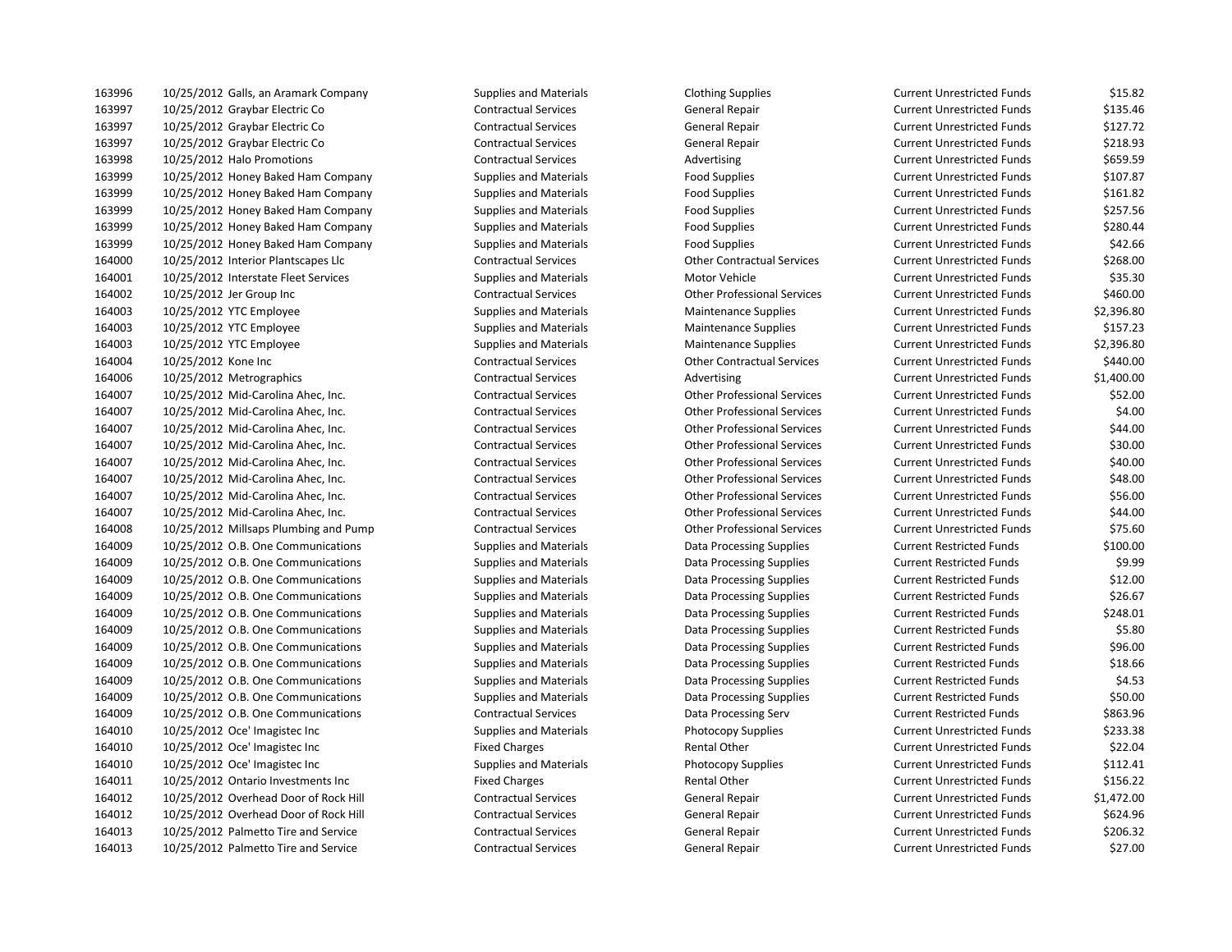| 163996 | 10/25/2012 Galls, an Aramark Company  | Supplies and Materials        | <b>Clothing Supplies</b>           | Current Unrestricted Funds        | \$15.82    |
|--------|---------------------------------------|-------------------------------|------------------------------------|-----------------------------------|------------|
| 163997 | 10/25/2012 Graybar Electric Co        | <b>Contractual Services</b>   | General Repair                     | <b>Current Unrestricted Funds</b> | \$135.46   |
| 163997 | 10/25/2012 Graybar Electric Co        | <b>Contractual Services</b>   | General Repair                     | <b>Current Unrestricted Funds</b> | \$127.72   |
| 163997 | 10/25/2012 Graybar Electric Co        | <b>Contractual Services</b>   | General Repair                     | <b>Current Unrestricted Funds</b> | \$218.93   |
| 163998 | 10/25/2012 Halo Promotions            | <b>Contractual Services</b>   | Advertising                        | <b>Current Unrestricted Funds</b> | \$659.59   |
| 163999 | 10/25/2012 Honey Baked Ham Company    | <b>Supplies and Materials</b> | <b>Food Supplies</b>               | <b>Current Unrestricted Funds</b> | \$107.87   |
| 163999 | 10/25/2012 Honey Baked Ham Company    | <b>Supplies and Materials</b> | <b>Food Supplies</b>               | <b>Current Unrestricted Funds</b> | \$161.82   |
| 163999 | 10/25/2012 Honey Baked Ham Company    | <b>Supplies and Materials</b> | <b>Food Supplies</b>               | <b>Current Unrestricted Funds</b> | \$257.56   |
| 163999 | 10/25/2012 Honey Baked Ham Company    | <b>Supplies and Materials</b> | <b>Food Supplies</b>               | <b>Current Unrestricted Funds</b> | \$280.44   |
| 163999 | 10/25/2012 Honey Baked Ham Company    | <b>Supplies and Materials</b> | <b>Food Supplies</b>               | <b>Current Unrestricted Funds</b> | \$42.66    |
| 164000 | 10/25/2012 Interior Plantscapes Llc   | <b>Contractual Services</b>   | <b>Other Contractual Services</b>  | <b>Current Unrestricted Funds</b> | \$268.00   |
| 164001 | 10/25/2012 Interstate Fleet Services  | <b>Supplies and Materials</b> | Motor Vehicle                      | <b>Current Unrestricted Funds</b> | \$35.30    |
| 164002 | 10/25/2012 Jer Group Inc              | <b>Contractual Services</b>   | <b>Other Professional Services</b> | <b>Current Unrestricted Funds</b> | \$460.00   |
| 164003 | 10/25/2012 YTC Employee               | <b>Supplies and Materials</b> | <b>Maintenance Supplies</b>        | <b>Current Unrestricted Funds</b> | \$2,396.80 |
| 164003 | 10/25/2012 YTC Employee               | <b>Supplies and Materials</b> | <b>Maintenance Supplies</b>        | <b>Current Unrestricted Funds</b> | \$157.23   |
| 164003 | 10/25/2012 YTC Employee               | <b>Supplies and Materials</b> | <b>Maintenance Supplies</b>        | <b>Current Unrestricted Funds</b> | \$2,396.80 |
| 164004 | 10/25/2012 Kone Inc                   | <b>Contractual Services</b>   | <b>Other Contractual Services</b>  | <b>Current Unrestricted Funds</b> | \$440.00   |
| 164006 | 10/25/2012 Metrographics              | <b>Contractual Services</b>   | Advertising                        | <b>Current Unrestricted Funds</b> | \$1,400.00 |
| 164007 | 10/25/2012 Mid-Carolina Ahec, Inc.    | <b>Contractual Services</b>   | <b>Other Professional Services</b> | <b>Current Unrestricted Funds</b> | \$52.00    |
| 164007 | 10/25/2012 Mid-Carolina Ahec, Inc.    | <b>Contractual Services</b>   | <b>Other Professional Services</b> | <b>Current Unrestricted Funds</b> | \$4.00     |
| 164007 | 10/25/2012 Mid-Carolina Ahec, Inc.    | <b>Contractual Services</b>   | <b>Other Professional Services</b> | <b>Current Unrestricted Funds</b> | \$44.00    |
| 164007 | 10/25/2012 Mid-Carolina Ahec, Inc.    | <b>Contractual Services</b>   | <b>Other Professional Services</b> | <b>Current Unrestricted Funds</b> | \$30.00    |
| 164007 | 10/25/2012 Mid-Carolina Ahec, Inc.    | <b>Contractual Services</b>   | <b>Other Professional Services</b> | <b>Current Unrestricted Funds</b> | \$40.00    |
| 164007 | 10/25/2012 Mid-Carolina Ahec, Inc.    | <b>Contractual Services</b>   | <b>Other Professional Services</b> | <b>Current Unrestricted Funds</b> | \$48.00    |
| 164007 | 10/25/2012 Mid-Carolina Ahec, Inc.    | <b>Contractual Services</b>   | <b>Other Professional Services</b> | <b>Current Unrestricted Funds</b> | \$56.00    |
| 164007 | 10/25/2012 Mid-Carolina Ahec, Inc.    | <b>Contractual Services</b>   | <b>Other Professional Services</b> | <b>Current Unrestricted Funds</b> | \$44.00    |
| 164008 | 10/25/2012 Millsaps Plumbing and Pump | <b>Contractual Services</b>   | <b>Other Professional Services</b> | <b>Current Unrestricted Funds</b> | \$75.60    |
| 164009 | 10/25/2012 O.B. One Communications    | <b>Supplies and Materials</b> | Data Processing Supplies           | <b>Current Restricted Funds</b>   | \$100.00   |
| 164009 | 10/25/2012 O.B. One Communications    | <b>Supplies and Materials</b> | <b>Data Processing Supplies</b>    | <b>Current Restricted Funds</b>   | \$9.99     |
| 164009 | 10/25/2012 O.B. One Communications    | <b>Supplies and Materials</b> | <b>Data Processing Supplies</b>    | <b>Current Restricted Funds</b>   | \$12.00    |
| 164009 | 10/25/2012 O.B. One Communications    | <b>Supplies and Materials</b> | Data Processing Supplies           | <b>Current Restricted Funds</b>   | \$26.67    |
| 164009 | 10/25/2012 O.B. One Communications    | <b>Supplies and Materials</b> | Data Processing Supplies           | <b>Current Restricted Funds</b>   | \$248.01   |
| 164009 | 10/25/2012 O.B. One Communications    | <b>Supplies and Materials</b> | Data Processing Supplies           | <b>Current Restricted Funds</b>   | \$5.80     |
| 164009 | 10/25/2012 O.B. One Communications    | <b>Supplies and Materials</b> | Data Processing Supplies           | <b>Current Restricted Funds</b>   | \$96.00    |
| 164009 | 10/25/2012 O.B. One Communications    | <b>Supplies and Materials</b> | <b>Data Processing Supplies</b>    | <b>Current Restricted Funds</b>   | \$18.66    |
| 164009 | 10/25/2012 O.B. One Communications    | <b>Supplies and Materials</b> | Data Processing Supplies           | <b>Current Restricted Funds</b>   | \$4.53     |
| 164009 | 10/25/2012 O.B. One Communications    | <b>Supplies and Materials</b> | <b>Data Processing Supplies</b>    | <b>Current Restricted Funds</b>   | \$50.00    |
| 164009 | 10/25/2012 O.B. One Communications    | <b>Contractual Services</b>   | Data Processing Serv               | <b>Current Restricted Funds</b>   | \$863.96   |
| 164010 | 10/25/2012 Oce' Imagistec Inc         | <b>Supplies and Materials</b> | Photocopy Supplies                 | <b>Current Unrestricted Funds</b> | \$233.38   |
| 164010 | 10/25/2012 Oce' Imagistec Inc         | <b>Fixed Charges</b>          | Rental Other                       | <b>Current Unrestricted Funds</b> | \$22.04    |
| 164010 | 10/25/2012 Oce' Imagistec Inc         | <b>Supplies and Materials</b> | <b>Photocopy Supplies</b>          | <b>Current Unrestricted Funds</b> | \$112.41   |
| 164011 | 10/25/2012 Ontario Investments Inc    | <b>Fixed Charges</b>          | Rental Other                       | <b>Current Unrestricted Funds</b> | \$156.22   |
| 164012 | 10/25/2012 Overhead Door of Rock Hill | <b>Contractual Services</b>   | General Repair                     | <b>Current Unrestricted Funds</b> | \$1,472.00 |
| 164012 | 10/25/2012 Overhead Door of Rock Hill | <b>Contractual Services</b>   | <b>General Repair</b>              | <b>Current Unrestricted Funds</b> | \$624.96   |
| 164013 | 10/25/2012 Palmetto Tire and Service  | <b>Contractual Services</b>   | <b>General Repair</b>              | <b>Current Unrestricted Funds</b> | \$206.32   |
| 164013 | 10/25/2012 Palmetto Tire and Service  | <b>Contractual Services</b>   | General Repair                     | <b>Current Unrestricted Funds</b> | \$27.00    |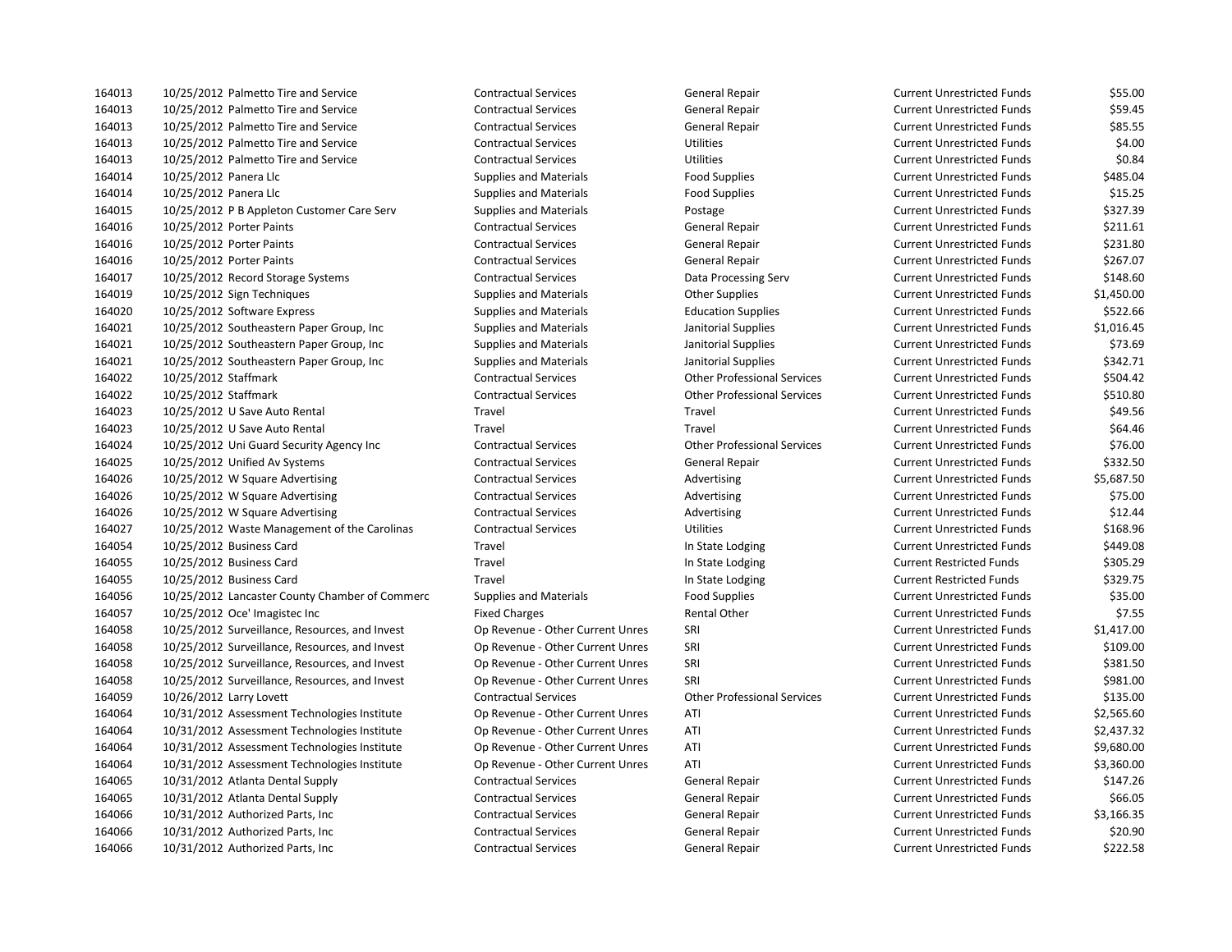| 164013 | 10/25/2012 Palmetto Tire and Service           | <b>Contractual Services</b>      | General Repair                     | Current Unrestricted Funds        | \$55.00    |
|--------|------------------------------------------------|----------------------------------|------------------------------------|-----------------------------------|------------|
| 164013 | 10/25/2012 Palmetto Tire and Service           | <b>Contractual Services</b>      | General Repair                     | <b>Current Unrestricted Funds</b> | \$59.45    |
| 164013 | 10/25/2012 Palmetto Tire and Service           | <b>Contractual Services</b>      | General Repair                     | <b>Current Unrestricted Funds</b> | \$85.55    |
| 164013 | 10/25/2012 Palmetto Tire and Service           | <b>Contractual Services</b>      | <b>Utilities</b>                   | <b>Current Unrestricted Funds</b> | \$4.00     |
| 164013 | 10/25/2012 Palmetto Tire and Service           | <b>Contractual Services</b>      | <b>Utilities</b>                   | <b>Current Unrestricted Funds</b> | \$0.84     |
| 164014 | 10/25/2012 Panera Llc                          | <b>Supplies and Materials</b>    | <b>Food Supplies</b>               | <b>Current Unrestricted Funds</b> | \$485.04   |
| 164014 | 10/25/2012 Panera Llc                          | <b>Supplies and Materials</b>    | <b>Food Supplies</b>               | <b>Current Unrestricted Funds</b> | \$15.25    |
| 164015 | 10/25/2012 P B Appleton Customer Care Serv     | <b>Supplies and Materials</b>    | Postage                            | <b>Current Unrestricted Funds</b> | \$327.39   |
| 164016 | 10/25/2012 Porter Paints                       | <b>Contractual Services</b>      | General Repair                     | <b>Current Unrestricted Funds</b> | \$211.61   |
| 164016 | 10/25/2012 Porter Paints                       | <b>Contractual Services</b>      | General Repair                     | <b>Current Unrestricted Funds</b> | \$231.80   |
| 164016 | 10/25/2012 Porter Paints                       | <b>Contractual Services</b>      | General Repair                     | <b>Current Unrestricted Funds</b> | \$267.07   |
| 164017 | 10/25/2012 Record Storage Systems              | <b>Contractual Services</b>      | Data Processing Serv               | <b>Current Unrestricted Funds</b> | \$148.60   |
| 164019 | 10/25/2012 Sign Techniques                     | <b>Supplies and Materials</b>    | <b>Other Supplies</b>              | <b>Current Unrestricted Funds</b> | \$1,450.00 |
| 164020 | 10/25/2012 Software Express                    | <b>Supplies and Materials</b>    | <b>Education Supplies</b>          | <b>Current Unrestricted Funds</b> | \$522.66   |
| 164021 | 10/25/2012 Southeastern Paper Group, Inc       | <b>Supplies and Materials</b>    | Janitorial Supplies                | <b>Current Unrestricted Funds</b> | \$1,016.45 |
| 164021 | 10/25/2012 Southeastern Paper Group, Inc       | <b>Supplies and Materials</b>    | Janitorial Supplies                | <b>Current Unrestricted Funds</b> | \$73.69    |
| 164021 | 10/25/2012 Southeastern Paper Group, Inc.      | <b>Supplies and Materials</b>    | Janitorial Supplies                | <b>Current Unrestricted Funds</b> | \$342.71   |
| 164022 | 10/25/2012 Staffmark                           | <b>Contractual Services</b>      | <b>Other Professional Services</b> | <b>Current Unrestricted Funds</b> | \$504.42   |
| 164022 | 10/25/2012 Staffmark                           | <b>Contractual Services</b>      | <b>Other Professional Services</b> | <b>Current Unrestricted Funds</b> | \$510.80   |
| 164023 | 10/25/2012 U Save Auto Rental                  | Travel                           | Travel                             | <b>Current Unrestricted Funds</b> | \$49.56    |
| 164023 | 10/25/2012 U Save Auto Rental                  | Travel                           | Travel                             | <b>Current Unrestricted Funds</b> | \$64.46    |
| 164024 | 10/25/2012 Uni Guard Security Agency Inc       | <b>Contractual Services</b>      | <b>Other Professional Services</b> | <b>Current Unrestricted Funds</b> | \$76.00    |
| 164025 | 10/25/2012 Unified Av Systems                  | <b>Contractual Services</b>      | General Repair                     | <b>Current Unrestricted Funds</b> | \$332.50   |
| 164026 | 10/25/2012 W Square Advertising                | <b>Contractual Services</b>      | Advertising                        | <b>Current Unrestricted Funds</b> | \$5,687.50 |
| 164026 | 10/25/2012 W Square Advertising                | <b>Contractual Services</b>      | Advertising                        | <b>Current Unrestricted Funds</b> | \$75.00    |
| 164026 | 10/25/2012 W Square Advertising                | <b>Contractual Services</b>      | Advertising                        | <b>Current Unrestricted Funds</b> | \$12.44    |
| 164027 | 10/25/2012 Waste Management of the Carolinas   | <b>Contractual Services</b>      | <b>Utilities</b>                   | <b>Current Unrestricted Funds</b> | \$168.96   |
| 164054 | 10/25/2012 Business Card                       | Travel                           | In State Lodging                   | <b>Current Unrestricted Funds</b> | \$449.08   |
| 164055 | 10/25/2012 Business Card                       | Travel                           | In State Lodging                   | <b>Current Restricted Funds</b>   | \$305.29   |
| 164055 | 10/25/2012 Business Card                       | Travel                           | In State Lodging                   | <b>Current Restricted Funds</b>   | \$329.75   |
| 164056 | 10/25/2012 Lancaster County Chamber of Commerc | <b>Supplies and Materials</b>    | <b>Food Supplies</b>               | <b>Current Unrestricted Funds</b> | \$35.00    |
| 164057 | 10/25/2012 Oce' Imagistec Inc                  | <b>Fixed Charges</b>             | Rental Other                       | <b>Current Unrestricted Funds</b> | \$7.55     |
| 164058 | 10/25/2012 Surveillance, Resources, and Invest | Op Revenue - Other Current Unres | SRI                                | <b>Current Unrestricted Funds</b> | \$1,417.00 |
| 164058 | 10/25/2012 Surveillance, Resources, and Invest | Op Revenue - Other Current Unres | SRI                                | <b>Current Unrestricted Funds</b> | \$109.00   |
| 164058 | 10/25/2012 Surveillance, Resources, and Invest | Op Revenue - Other Current Unres | SRI                                | <b>Current Unrestricted Funds</b> | \$381.50   |
| 164058 | 10/25/2012 Surveillance, Resources, and Invest | Op Revenue - Other Current Unres | SRI                                | <b>Current Unrestricted Funds</b> | \$981.00   |
| 164059 | 10/26/2012 Larry Lovett                        | <b>Contractual Services</b>      | <b>Other Professional Services</b> | <b>Current Unrestricted Funds</b> | \$135.00   |
| 164064 | 10/31/2012 Assessment Technologies Institute   | Op Revenue - Other Current Unres | ATI                                | <b>Current Unrestricted Funds</b> | \$2,565.60 |
| 164064 | 10/31/2012 Assessment Technologies Institute   | Op Revenue - Other Current Unres | ATI                                | <b>Current Unrestricted Funds</b> | \$2,437.32 |
| 164064 | 10/31/2012 Assessment Technologies Institute   | Op Revenue - Other Current Unres | ATI                                | <b>Current Unrestricted Funds</b> | \$9,680.00 |
| 164064 | 10/31/2012 Assessment Technologies Institute   | Op Revenue - Other Current Unres | ATI                                | <b>Current Unrestricted Funds</b> | \$3,360.00 |
| 164065 | 10/31/2012 Atlanta Dental Supply               | <b>Contractual Services</b>      | General Repair                     | <b>Current Unrestricted Funds</b> | \$147.26   |
| 164065 | 10/31/2012 Atlanta Dental Supply               | <b>Contractual Services</b>      | General Repair                     | <b>Current Unrestricted Funds</b> | \$66.05    |
| 164066 | 10/31/2012 Authorized Parts, Inc               | <b>Contractual Services</b>      | <b>General Repair</b>              | <b>Current Unrestricted Funds</b> | \$3,166.35 |
| 164066 | 10/31/2012 Authorized Parts, Inc               | <b>Contractual Services</b>      | <b>General Repair</b>              | <b>Current Unrestricted Funds</b> | \$20.90    |
| 164066 | 10/31/2012 Authorized Parts, Inc.              | <b>Contractual Services</b>      | General Repair                     | <b>Current Unrestricted Funds</b> | \$222.58   |
|        |                                                |                                  |                                    |                                   |            |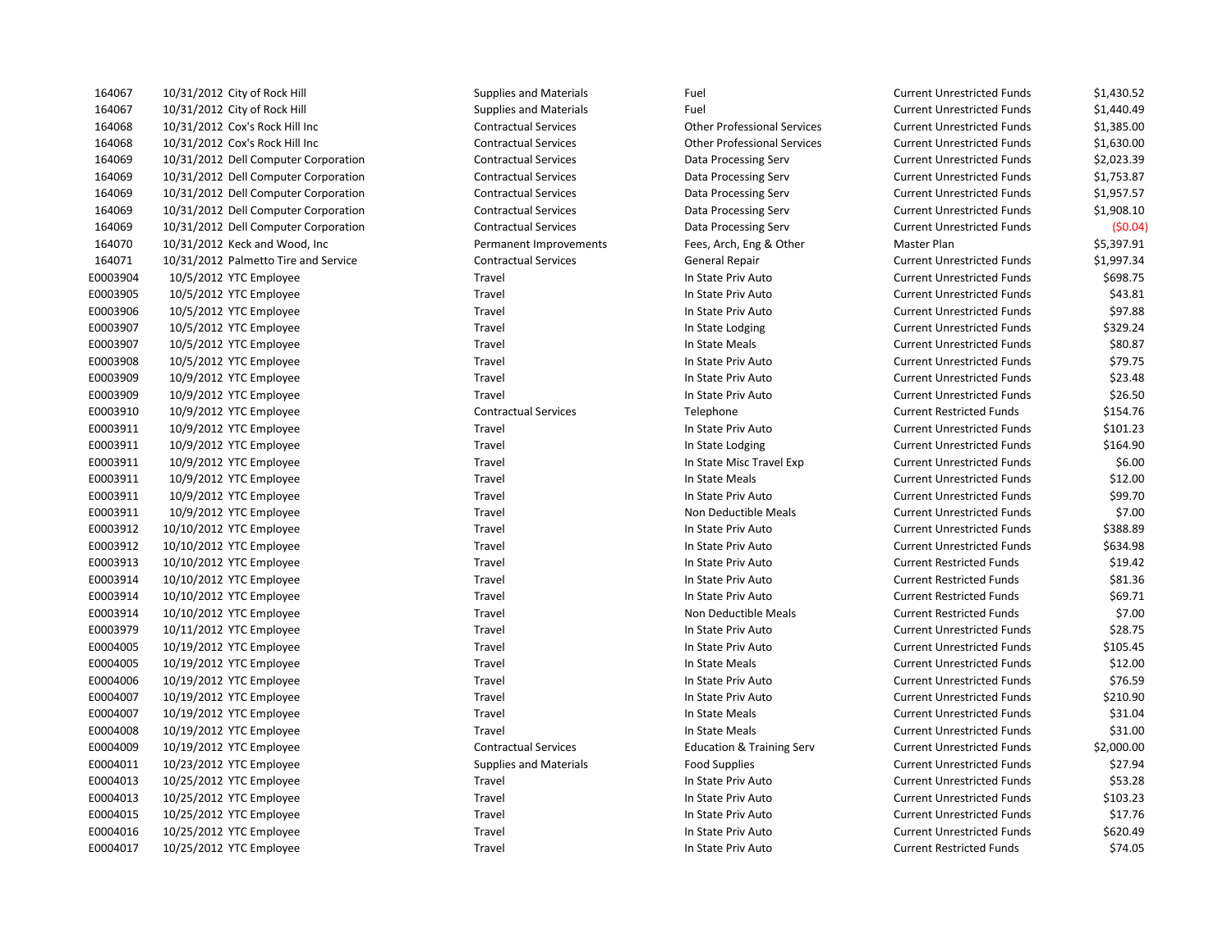| 164067   | 10/31/2012 City of Rock Hill         | <b>Supplies and Materials</b> | Fuel                                 | <b>Current Unrestricted Funds</b> | \$1,430.52 |
|----------|--------------------------------------|-------------------------------|--------------------------------------|-----------------------------------|------------|
| 164067   | 10/31/2012 City of Rock Hill         | <b>Supplies and Materials</b> | Fuel                                 | <b>Current Unrestricted Funds</b> | \$1,440.49 |
| 164068   | 10/31/2012 Cox's Rock Hill Inc       | <b>Contractual Services</b>   | <b>Other Professional Services</b>   | <b>Current Unrestricted Funds</b> | \$1,385.00 |
| 164068   | 10/31/2012 Cox's Rock Hill Inc       | <b>Contractual Services</b>   | <b>Other Professional Services</b>   | <b>Current Unrestricted Funds</b> | \$1,630.00 |
| 164069   | 10/31/2012 Dell Computer Corporation | <b>Contractual Services</b>   | Data Processing Serv                 | <b>Current Unrestricted Funds</b> | \$2,023.39 |
| 164069   | 10/31/2012 Dell Computer Corporation | <b>Contractual Services</b>   | Data Processing Serv                 | <b>Current Unrestricted Funds</b> | \$1,753.87 |
| 164069   | 10/31/2012 Dell Computer Corporation | <b>Contractual Services</b>   | Data Processing Serv                 | <b>Current Unrestricted Funds</b> | \$1,957.57 |
| 164069   | 10/31/2012 Dell Computer Corporation | <b>Contractual Services</b>   | Data Processing Serv                 | <b>Current Unrestricted Funds</b> | \$1,908.10 |
| 164069   | 10/31/2012 Dell Computer Corporation | <b>Contractual Services</b>   | Data Processing Serv                 | <b>Current Unrestricted Funds</b> | (50.04)    |
| 164070   | 10/31/2012 Keck and Wood, Inc.       | Permanent Improvements        | Fees, Arch, Eng & Other              | Master Plan                       | \$5,397.91 |
| 164071   | 10/31/2012 Palmetto Tire and Service | <b>Contractual Services</b>   | General Repair                       | <b>Current Unrestricted Funds</b> | \$1,997.34 |
| E0003904 | 10/5/2012 YTC Employee               | Travel                        | In State Priv Auto                   | <b>Current Unrestricted Funds</b> | \$698.75   |
| E0003905 | 10/5/2012 YTC Employee               | Travel                        | In State Priv Auto                   | <b>Current Unrestricted Funds</b> | \$43.81    |
| E0003906 | 10/5/2012 YTC Employee               | Travel                        | In State Priv Auto                   | <b>Current Unrestricted Funds</b> | \$97.88    |
| E0003907 | 10/5/2012 YTC Employee               | Travel                        | In State Lodging                     | <b>Current Unrestricted Funds</b> | \$329.24   |
| E0003907 | 10/5/2012 YTC Employee               | Travel                        | In State Meals                       | <b>Current Unrestricted Funds</b> | \$80.87    |
| E0003908 | 10/5/2012 YTC Employee               | Travel                        | In State Priv Auto                   | <b>Current Unrestricted Funds</b> | \$79.75    |
| E0003909 | 10/9/2012 YTC Employee               | Travel                        | In State Priv Auto                   | <b>Current Unrestricted Funds</b> | \$23.48    |
| E0003909 | 10/9/2012 YTC Employee               | Travel                        | In State Priv Auto                   | <b>Current Unrestricted Funds</b> | \$26.50    |
| E0003910 | 10/9/2012 YTC Employee               | <b>Contractual Services</b>   | Telephone                            | <b>Current Restricted Funds</b>   | \$154.76   |
| E0003911 | 10/9/2012 YTC Employee               | Travel                        | In State Priv Auto                   | <b>Current Unrestricted Funds</b> | \$101.23   |
| E0003911 | 10/9/2012 YTC Employee               | Travel                        | In State Lodging                     | <b>Current Unrestricted Funds</b> | \$164.90   |
| E0003911 | 10/9/2012 YTC Employee               | Travel                        | In State Misc Travel Exp             | <b>Current Unrestricted Funds</b> | \$6.00     |
| E0003911 | 10/9/2012 YTC Employee               | Travel                        | In State Meals                       | <b>Current Unrestricted Funds</b> | \$12.00    |
| E0003911 | 10/9/2012 YTC Employee               | Travel                        | In State Priv Auto                   | <b>Current Unrestricted Funds</b> | \$99.70    |
| E0003911 | 10/9/2012 YTC Employee               | Travel                        | Non Deductible Meals                 | <b>Current Unrestricted Funds</b> | \$7.00     |
| E0003912 | 10/10/2012 YTC Employee              | Travel                        | In State Priv Auto                   | <b>Current Unrestricted Funds</b> | \$388.89   |
| E0003912 | 10/10/2012 YTC Employee              | Travel                        | In State Priv Auto                   | <b>Current Unrestricted Funds</b> | \$634.98   |
| E0003913 | 10/10/2012 YTC Employee              | Travel                        | In State Priv Auto                   | <b>Current Restricted Funds</b>   | \$19.42    |
| E0003914 | 10/10/2012 YTC Employee              | Travel                        | In State Priv Auto                   | <b>Current Restricted Funds</b>   | \$81.36    |
| E0003914 | 10/10/2012 YTC Employee              | Travel                        | In State Priv Auto                   | <b>Current Restricted Funds</b>   | \$69.71    |
| E0003914 | 10/10/2012 YTC Employee              | Travel                        | Non Deductible Meals                 | <b>Current Restricted Funds</b>   | \$7.00     |
| E0003979 | 10/11/2012 YTC Employee              | Travel                        | In State Priv Auto                   | <b>Current Unrestricted Funds</b> | \$28.75    |
| E0004005 | 10/19/2012 YTC Employee              | Travel                        | In State Priv Auto                   | <b>Current Unrestricted Funds</b> | \$105.45   |
| E0004005 | 10/19/2012 YTC Employee              | Travel                        | In State Meals                       | <b>Current Unrestricted Funds</b> | \$12.00    |
| E0004006 | 10/19/2012 YTC Employee              | Travel                        | In State Priv Auto                   | <b>Current Unrestricted Funds</b> | \$76.59    |
| E0004007 | 10/19/2012 YTC Employee              | Travel                        | In State Priv Auto                   | <b>Current Unrestricted Funds</b> | \$210.90   |
| E0004007 | 10/19/2012 YTC Employee              | Travel                        | In State Meals                       | <b>Current Unrestricted Funds</b> | \$31.04    |
| E0004008 | 10/19/2012 YTC Employee              | Travel                        | In State Meals                       | <b>Current Unrestricted Funds</b> | \$31.00    |
| E0004009 | 10/19/2012 YTC Employee              | <b>Contractual Services</b>   | <b>Education &amp; Training Serv</b> | <b>Current Unrestricted Funds</b> | \$2,000.00 |
| E0004011 | 10/23/2012 YTC Employee              | <b>Supplies and Materials</b> | <b>Food Supplies</b>                 | <b>Current Unrestricted Funds</b> | \$27.94    |
| E0004013 | 10/25/2012 YTC Employee              | Travel                        | In State Priv Auto                   | <b>Current Unrestricted Funds</b> | \$53.28    |
| E0004013 | 10/25/2012 YTC Employee              | Travel                        | In State Priv Auto                   | <b>Current Unrestricted Funds</b> | \$103.23   |
| E0004015 | 10/25/2012 YTC Employee              | Travel                        | In State Priv Auto                   | <b>Current Unrestricted Funds</b> | \$17.76    |
| E0004016 | 10/25/2012 YTC Employee              | Travel                        | In State Priv Auto                   | <b>Current Unrestricted Funds</b> | \$620.49   |
| E0004017 | 10/25/2012 YTC Employee              | Travel                        | In State Priv Auto                   | <b>Current Restricted Funds</b>   | \$74.05    |
|          |                                      |                               |                                      |                                   |            |

| Current Unrestricted Funds        | \$1,430.52     |
|-----------------------------------|----------------|
| <b>Current Unrestricted Funds</b> | \$1,440.49     |
| <b>Current Unrestricted Funds</b> | \$1,385.00     |
| Current Unrestricted Funds        | \$1,630.00     |
| <b>Current Unrestricted Funds</b> | \$2,023.39     |
| <b>Current Unrestricted Funds</b> | \$1,753.87     |
| <b>Current Unrestricted Funds</b> | \$1,957.57     |
| <b>Current Unrestricted Funds</b> | \$1,908.10     |
| <b>Current Unrestricted Funds</b> | (50.04)        |
| Master Plan                       | \$5,397.91     |
| <b>Current Unrestricted Funds</b> | \$1,997.34     |
| <b>Current Unrestricted Funds</b> | \$698.75       |
| <b>Current Unrestricted Funds</b> | \$43.81        |
| <b>Current Unrestricted Funds</b> | \$97.88        |
| <b>Current Unrestricted Funds</b> | \$329.24       |
| <b>Current Unrestricted Funds</b> | \$80.87        |
| <b>Current Unrestricted Funds</b> | \$79.75        |
| <b>Current Unrestricted Funds</b> | \$23.48        |
| Current Unrestricted Funds        | \$26.50        |
| <b>Current Restricted Funds</b>   | \$154.76       |
| <b>Current Unrestricted Funds</b> | \$101.23       |
| <b>Current Unrestricted Funds</b> | \$164.90       |
| <b>Current Unrestricted Funds</b> | \$6.00         |
| <b>Current Unrestricted Funds</b> | \$12.00        |
| <b>Current Unrestricted Funds</b> | \$99.70        |
| <b>Current Unrestricted Funds</b> | \$7.00         |
| <b>Current Unrestricted Funds</b> | \$388.89       |
| <b>Current Unrestricted Funds</b> | \$634.98       |
| Current Restricted Funds          | \$19.42        |
| <b>Current Restricted Funds</b>   | \$81.36        |
| <b>Current Restricted Funds</b>   | \$69.71        |
| <b>Current Restricted Funds</b>   | \$7.00         |
| <b>Current Unrestricted Funds</b> | \$28.75        |
| <b>Current Unrestricted Funds</b> | \$105.45       |
| <b>Current Unrestricted Funds</b> | \$12.00        |
| Current Unrestricted Funds        | \$76.59        |
| <b>Current Unrestricted Funds</b> | \$210.90       |
| <b>Current Unrestricted Funds</b> | \$31.04        |
| <b>Current Unrestricted Funds</b> | \$31.00        |
| <b>Current Unrestricted Funds</b> | \$2,000.00     |
| <b>Current Unrestricted Funds</b> | \$27.94        |
| <b>Current Unrestricted Funds</b> | \$53.28        |
| <b>Current Unrestricted Funds</b> | \$103.23       |
| Current Unrestricted Funds        | \$17.76        |
| <b>Current Unrestricted Funds</b> | \$620.49       |
| Current Rectricted Funds          | <b>\$74 05</b> |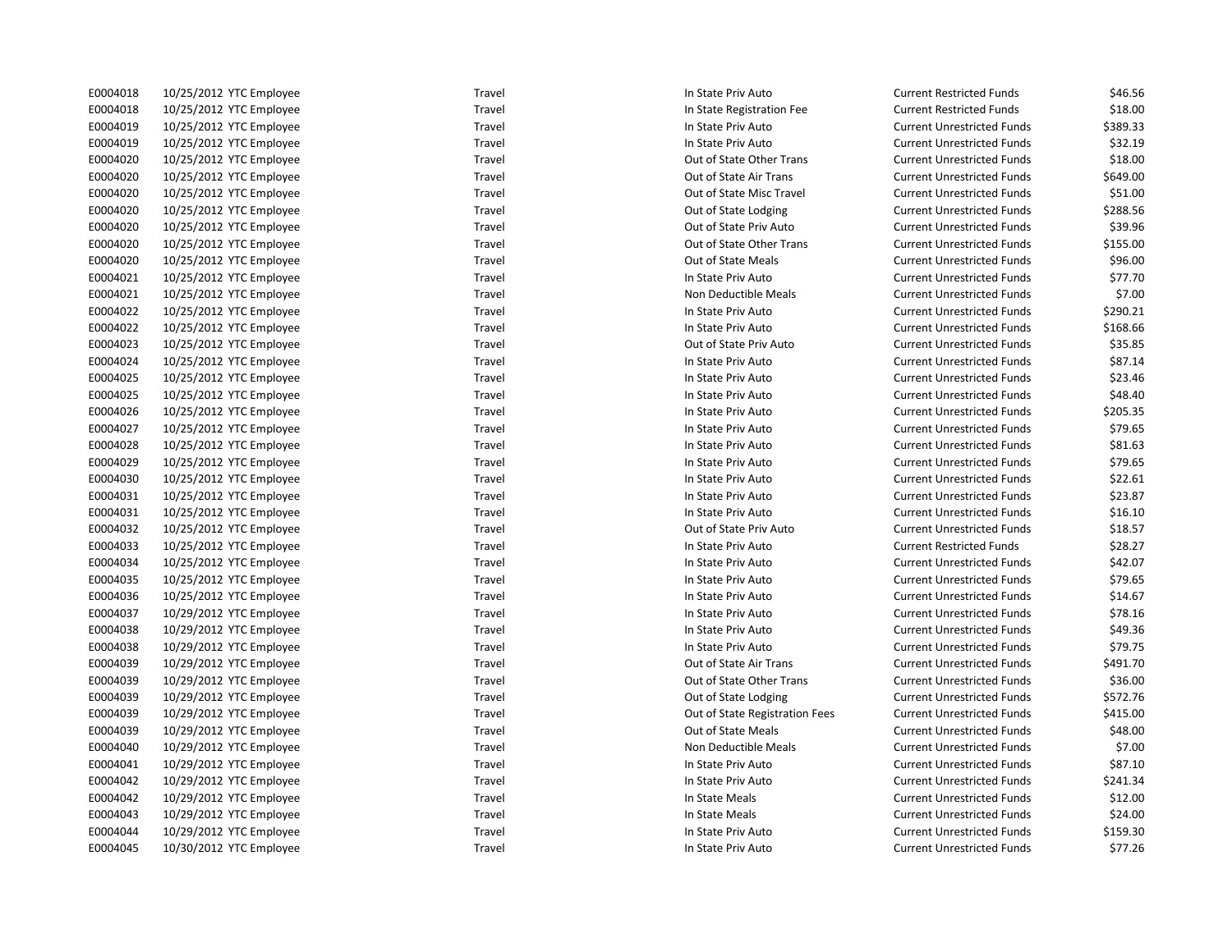| E0004018 | 10/25/2012 YTC Employee | Travel | In State Priv Auto             | <b>Current Restricted Funds</b>   | \$46.56  |
|----------|-------------------------|--------|--------------------------------|-----------------------------------|----------|
| E0004018 | 10/25/2012 YTC Employee | Travel | In State Registration Fee      | <b>Current Restricted Funds</b>   | \$18.00  |
| E0004019 | 10/25/2012 YTC Employee | Travel | In State Priv Auto             | <b>Current Unrestricted Funds</b> | \$389.33 |
| E0004019 | 10/25/2012 YTC Employee | Travel | In State Priv Auto             | <b>Current Unrestricted Funds</b> | \$32.19  |
| E0004020 | 10/25/2012 YTC Employee | Travel | Out of State Other Trans       | <b>Current Unrestricted Funds</b> | \$18.00  |
| E0004020 | 10/25/2012 YTC Employee | Travel | Out of State Air Trans         | <b>Current Unrestricted Funds</b> | \$649.00 |
| E0004020 | 10/25/2012 YTC Employee | Travel | Out of State Misc Travel       | <b>Current Unrestricted Funds</b> | \$51.00  |
| E0004020 | 10/25/2012 YTC Employee | Travel | Out of State Lodging           | <b>Current Unrestricted Funds</b> | \$288.56 |
| E0004020 | 10/25/2012 YTC Employee | Travel | Out of State Priv Auto         | <b>Current Unrestricted Funds</b> | \$39.96  |
| E0004020 | 10/25/2012 YTC Employee | Travel | Out of State Other Trans       | <b>Current Unrestricted Funds</b> | \$155.00 |
| E0004020 | 10/25/2012 YTC Employee | Travel | Out of State Meals             | <b>Current Unrestricted Funds</b> | \$96.00  |
| E0004021 | 10/25/2012 YTC Employee | Travel | In State Priv Auto             | <b>Current Unrestricted Funds</b> | \$77.70  |
| E0004021 | 10/25/2012 YTC Employee | Travel | Non Deductible Meals           | <b>Current Unrestricted Funds</b> | \$7.00   |
| E0004022 | 10/25/2012 YTC Employee | Travel | In State Priv Auto             | <b>Current Unrestricted Funds</b> | \$290.21 |
| E0004022 | 10/25/2012 YTC Employee | Travel | In State Priv Auto             | <b>Current Unrestricted Funds</b> | \$168.66 |
| E0004023 | 10/25/2012 YTC Employee | Travel | Out of State Priv Auto         | <b>Current Unrestricted Funds</b> | \$35.85  |
| E0004024 | 10/25/2012 YTC Employee | Travel | In State Priv Auto             | <b>Current Unrestricted Funds</b> | \$87.14  |
| E0004025 | 10/25/2012 YTC Employee | Travel | In State Priv Auto             | <b>Current Unrestricted Funds</b> | \$23.46  |
| E0004025 | 10/25/2012 YTC Employee | Travel | In State Priv Auto             | <b>Current Unrestricted Funds</b> | \$48.40  |
| E0004026 | 10/25/2012 YTC Employee | Travel | In State Priv Auto             | <b>Current Unrestricted Funds</b> | \$205.35 |
| E0004027 | 10/25/2012 YTC Employee | Travel | In State Priv Auto             | <b>Current Unrestricted Funds</b> | \$79.65  |
| E0004028 | 10/25/2012 YTC Employee | Travel | In State Priv Auto             | <b>Current Unrestricted Funds</b> | \$81.63  |
| E0004029 | 10/25/2012 YTC Employee | Travel | In State Priv Auto             | <b>Current Unrestricted Funds</b> | \$79.65  |
| E0004030 | 10/25/2012 YTC Employee | Travel | In State Priv Auto             | <b>Current Unrestricted Funds</b> | \$22.61  |
| E0004031 | 10/25/2012 YTC Employee | Travel | In State Priv Auto             | <b>Current Unrestricted Funds</b> | \$23.87  |
| E0004031 | 10/25/2012 YTC Employee | Travel | In State Priv Auto             | <b>Current Unrestricted Funds</b> | \$16.10  |
| E0004032 | 10/25/2012 YTC Employee | Travel | Out of State Priv Auto         | <b>Current Unrestricted Funds</b> | \$18.57  |
| E0004033 | 10/25/2012 YTC Employee | Travel | In State Priv Auto             | <b>Current Restricted Funds</b>   | \$28.27  |
| E0004034 | 10/25/2012 YTC Employee | Travel | In State Priv Auto             | <b>Current Unrestricted Funds</b> | \$42.07  |
| E0004035 | 10/25/2012 YTC Employee | Travel | In State Priv Auto             | <b>Current Unrestricted Funds</b> | \$79.65  |
| E0004036 | 10/25/2012 YTC Employee | Travel | In State Priv Auto             | <b>Current Unrestricted Funds</b> | \$14.67  |
| E0004037 | 10/29/2012 YTC Employee | Travel | In State Priv Auto             | <b>Current Unrestricted Funds</b> | \$78.16  |
| E0004038 | 10/29/2012 YTC Employee | Travel | In State Priv Auto             | <b>Current Unrestricted Funds</b> | \$49.36  |
| E0004038 | 10/29/2012 YTC Employee | Travel | In State Priv Auto             | <b>Current Unrestricted Funds</b> | \$79.75  |
| E0004039 | 10/29/2012 YTC Employee | Travel | Out of State Air Trans         | <b>Current Unrestricted Funds</b> | \$491.70 |
| E0004039 | 10/29/2012 YTC Employee | Travel | Out of State Other Trans       | <b>Current Unrestricted Funds</b> | \$36.00  |
| E0004039 | 10/29/2012 YTC Employee | Travel | Out of State Lodging           | <b>Current Unrestricted Funds</b> | \$572.76 |
| E0004039 | 10/29/2012 YTC Employee | Travel | Out of State Registration Fees | <b>Current Unrestricted Funds</b> | \$415.00 |
| E0004039 | 10/29/2012 YTC Employee | Travel | Out of State Meals             | <b>Current Unrestricted Funds</b> | \$48.00  |
| E0004040 | 10/29/2012 YTC Employee | Travel | Non Deductible Meals           | <b>Current Unrestricted Funds</b> | \$7.00   |
| E0004041 | 10/29/2012 YTC Employee | Travel | In State Priv Auto             | <b>Current Unrestricted Funds</b> | \$87.10  |
| E0004042 | 10/29/2012 YTC Employee | Travel | In State Priv Auto             | <b>Current Unrestricted Funds</b> | \$241.34 |
| E0004042 | 10/29/2012 YTC Employee | Travel | In State Meals                 | <b>Current Unrestricted Funds</b> | \$12.00  |
| E0004043 | 10/29/2012 YTC Employee | Travel | In State Meals                 | <b>Current Unrestricted Funds</b> | \$24.00  |
| E0004044 | 10/29/2012 YTC Employee | Travel | In State Priv Auto             | <b>Current Unrestricted Funds</b> | \$159.30 |
| E0004045 | 10/30/2012 YTC Employee | Travel | In State Priv Auto             | <b>Current Unrestricted Funds</b> | \$77.26  |
|          |                         |        |                                |                                   |          |